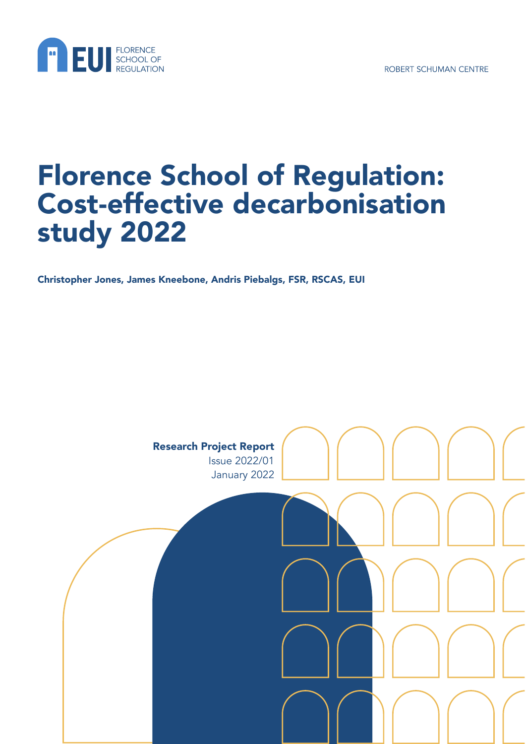



# Florence School of Regulation: Cost-effective decarbonisation study 2022

Christopher Jones, James Kneebone, Andris Piebalgs, FSR, RSCAS, EUI

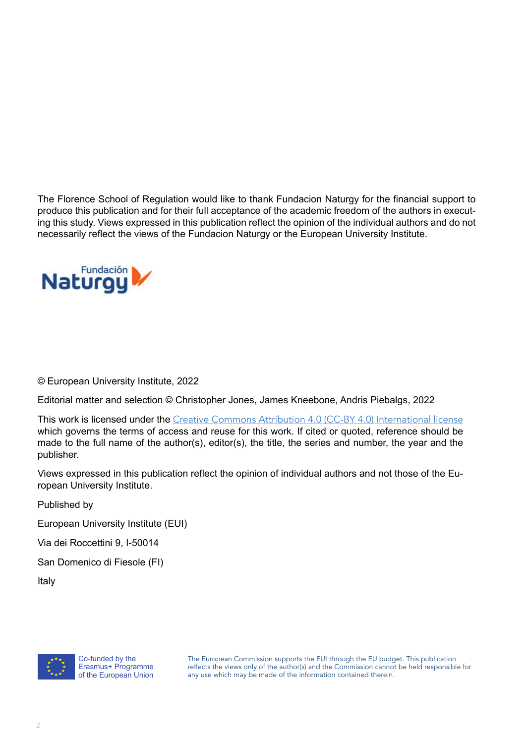The Florence School of Regulation would like to thank Fundacion Naturgy for the financial support to produce this publication and for their full acceptance of the academic freedom of the authors in executing this study. Views expressed in this publication reflect the opinion of the individual authors and do not necessarily reflect the views of the Fundacion Naturgy or the European University Institute.



© European University Institute, 2022

Editorial matter and selection © Christopher Jones, James Kneebone, Andris Piebalgs, 2022

This work is licensed under the [Creative Commons Attribution 4.0 \(CC-BY 4.0\) International license](https://creativecommons.org/licenses/by/4.0/) which governs the terms of access and reuse for this work. If cited or quoted, reference should be made to the full name of the author(s), editor(s), the title, the series and number, the year and the publisher.

Views expressed in this publication reflect the opinion of individual authors and not those of the European University Institute.

Published by

European University Institute (EUI)

Via dei Roccettini 9, I-50014

San Domenico di Fiesole (FI)

Italy

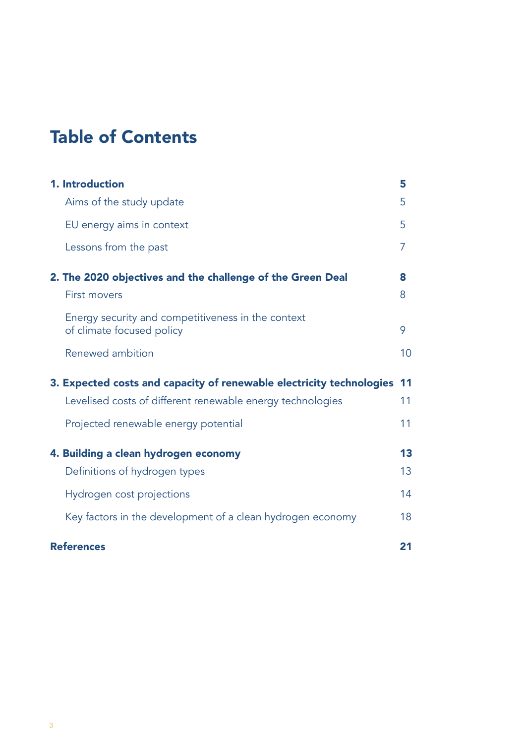# Table of Contents

| 1. Introduction                                                                 | 5  |
|---------------------------------------------------------------------------------|----|
| Aims of the study update                                                        | 5  |
| EU energy aims in context                                                       | 5  |
| Lessons from the past                                                           | 7  |
| 2. The 2020 objectives and the challenge of the Green Deal                      | 8  |
| <b>First movers</b>                                                             | 8  |
| Energy security and competitiveness in the context<br>of climate focused policy | 9  |
| Renewed ambition                                                                | 10 |
| 3. Expected costs and capacity of renewable electricity technologies            | 11 |
| Levelised costs of different renewable energy technologies                      | 11 |
| Projected renewable energy potential                                            | 11 |
| 4. Building a clean hydrogen economy                                            | 13 |
| Definitions of hydrogen types                                                   | 13 |
| Hydrogen cost projections                                                       | 14 |
| Key factors in the development of a clean hydrogen economy                      | 18 |
| <b>References</b>                                                               | 21 |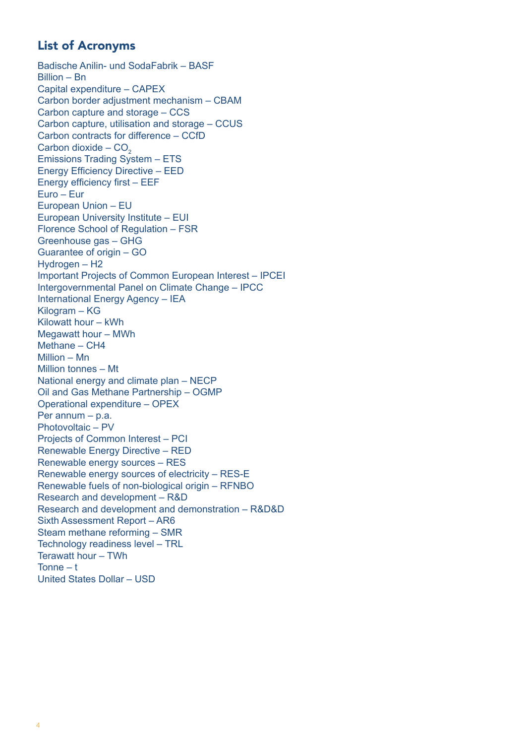# List of Acronyms

Badische Anilin- und SodaFabrik – BASF Billion – Bn Capital expenditure – CAPEX Carbon border adjustment mechanism – CBAM Carbon capture and storage – CCS Carbon capture, utilisation and storage – CCUS Carbon contracts for difference – CCfD Carbon dioxide –  $CO<sub>2</sub>$ Emissions Trading System – ETS Energy Efficiency Directive – EED Energy efficiency first – EEF Euro – Eur European Union – EU European University Institute – EUI Florence School of Regulation – FSR Greenhouse gas – GHG Guarantee of origin – GO Hydrogen – H2 Important Projects of Common European Interest – IPCEI Intergovernmental Panel on Climate Change – IPCC International Energy Agency – IEA Kilogram – KG Kilowatt hour – kWh Megawatt hour – MWh Methane – CH4 Million – Mn Million tonnes – Mt National energy and climate plan – NECP Oil and Gas Methane Partnership – OGMP Operational expenditure – OPEX Per annum – p.a. Photovoltaic – PV Projects of Common Interest – PCI Renewable Energy Directive – RED Renewable energy sources – RES Renewable energy sources of electricity – RES-E Renewable fuels of non-biological origin – RFNBO Research and development – R&D Research and development and demonstration – R&D&D Sixth Assessment Report – AR6 Steam methane reforming – SMR Technology readiness level – TRL Terawatt hour – TWh Tonne – t United States Dollar – USD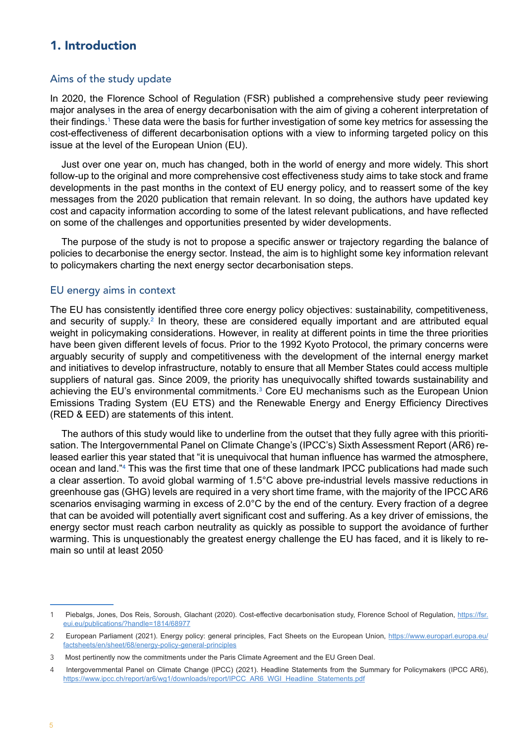## <span id="page-4-0"></span>1. Introduction

#### Aims of the study update

In 2020, the Florence School of Regulation (FSR) published a comprehensive study peer reviewing major analyses in the area of energy decarbonisation with the aim of giving a coherent interpretation of their findings.1 These data were the basis for further investigation of some key metrics for assessing the cost-effectiveness of different decarbonisation options with a view to informing targeted policy on this issue at the level of the European Union (EU).

Just over one year on, much has changed, both in the world of energy and more widely. This short follow-up to the original and more comprehensive cost effectiveness study aims to take stock and frame developments in the past months in the context of EU energy policy, and to reassert some of the key messages from the 2020 publication that remain relevant. In so doing, the authors have updated key cost and capacity information according to some of the latest relevant publications, and have reflected on some of the challenges and opportunities presented by wider developments.

The purpose of the study is not to propose a specific answer or trajectory regarding the balance of policies to decarbonise the energy sector. Instead, the aim is to highlight some key information relevant to policymakers charting the next energy sector decarbonisation steps.

#### EU energy aims in context

The EU has consistently identified three core energy policy objectives: sustainability, competitiveness, and security of supply.<sup>2</sup> In theory, these are considered equally important and are attributed equal weight in policymaking considerations. However, in reality at different points in time the three priorities have been given different levels of focus. Prior to the 1992 Kyoto Protocol, the primary concerns were arguably security of supply and competitiveness with the development of the internal energy market and initiatives to develop infrastructure, notably to ensure that all Member States could access multiple suppliers of natural gas. Since 2009, the priority has unequivocally shifted towards sustainability and achieving the EU's environmental commitments.<sup>3</sup> Core EU mechanisms such as the European Union Emissions Trading System (EU ETS) and the Renewable Energy and Energy Efficiency Directives (RED & EED) are statements of this intent.

The authors of this study would like to underline from the outset that they fully agree with this prioritisation. The Intergovernmental Panel on Climate Change's (IPCC's) Sixth Assessment Report (AR6) released earlier this year stated that "it is unequivocal that human influence has warmed the atmosphere, ocean and land."4 This was the first time that one of these landmark IPCC publications had made such a clear assertion. To avoid global warming of 1.5°C above pre-industrial levels massive reductions in greenhouse gas (GHG) levels are required in a very short time frame, with the majority of the IPCC AR6 scenarios envisaging warming in excess of 2.0°C by the end of the century. Every fraction of a degree that can be avoided will potentially avert significant cost and suffering. As a key driver of emissions, the energy sector must reach carbon neutrality as quickly as possible to support the avoidance of further warming. This is unquestionably the greatest energy challenge the EU has faced, and it is likely to remain so until at least 2050.

<sup>1</sup> Piebalgs, Jones, Dos Reis, Soroush, Glachant (2020). Cost-effective decarbonisation study, Florence School of Regulation, [https://fsr.](https://fsr.eui.eu/publications/?handle=1814/68977) [eui.eu/publications/?handle=1814/68977](https://fsr.eui.eu/publications/?handle=1814/68977)

<sup>2</sup> European Parliament (2021). Energy policy: general principles, Fact Sheets on the European Union, [https://www.europarl.europa.eu/](https://www.europarl.europa.eu/factsheets/en/sheet/68/energy-policy-general-principles) [factsheets/en/sheet/68/energy-policy-general-principles](https://www.europarl.europa.eu/factsheets/en/sheet/68/energy-policy-general-principles)

<sup>3</sup> Most pertinently now the commitments under the Paris Climate Agreement and the EU Green Deal.

<sup>4</sup> Intergovernmental Panel on Climate Change (IPCC) (2021). Headline Statements from the Summary for Policymakers (IPCC AR6), [https://www.ipcc.ch/report/ar6/wg1/downloads/report/IPCC\\_AR6\\_WGI\\_Headline\\_Statements.pdf](https://www.ipcc.ch/report/ar6/wg1/downloads/report/IPCC_AR6_WGI_Headline_Statements.pdf)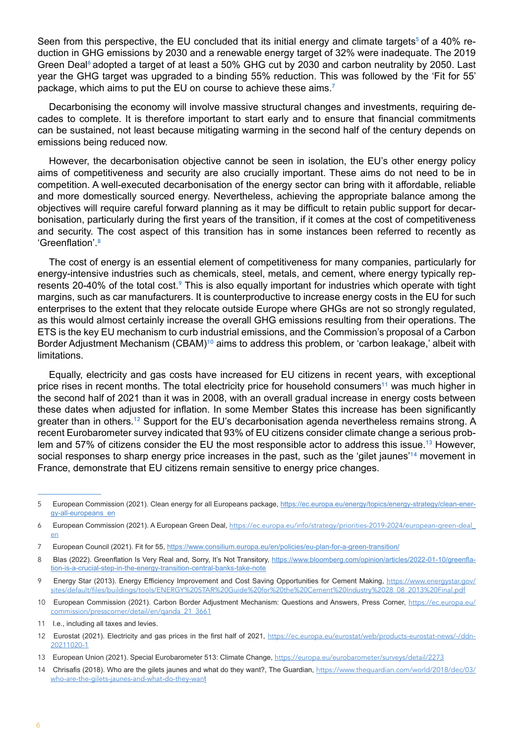Seen from this perspective, the EU concluded that its initial energy and climate targets<sup>5</sup> of a 40% reduction in GHG emissions by 2030 and a renewable energy target of 32% were inadequate. The 2019 Green Deal<sup>6</sup> adopted a target of at least a 50% GHG cut by 2030 and carbon neutrality by 2050. Last year the GHG target was upgraded to a binding 55% reduction. This was followed by the 'Fit for 55' package, which aims to put the EU on course to achieve these aims.<sup>7</sup>

Decarbonising the economy will involve massive structural changes and investments, requiring decades to complete. It is therefore important to start early and to ensure that financial commitments can be sustained, not least because mitigating warming in the second half of the century depends on emissions being reduced now.

However, the decarbonisation objective cannot be seen in isolation, the EU's other energy policy aims of competitiveness and security are also crucially important. These aims do not need to be in competition. A well-executed decarbonisation of the energy sector can bring with it affordable, reliable and more domestically sourced energy. Nevertheless, achieving the appropriate balance among the objectives will require careful forward planning as it may be difficult to retain public support for decarbonisation, particularly during the first years of the transition, if it comes at the cost of competitiveness and security. The cost aspect of this transition has in some instances been referred to recently as 'Greenflation'.<sup>8</sup>

The cost of energy is an essential element of competitiveness for many companies, particularly for energy-intensive industries such as chemicals, steel, metals, and cement, where energy typically represents 20-40% of the total cost.<sup>9</sup> This is also equally important for industries which operate with tight margins, such as car manufacturers. It is counterproductive to increase energy costs in the EU for such enterprises to the extent that they relocate outside Europe where GHGs are not so strongly regulated, as this would almost certainly increase the overall GHG emissions resulting from their operations. The ETS is the key EU mechanism to curb industrial emissions, and the Commission's proposal of a Carbon Border Adjustment Mechanism (CBAM)<sup>10</sup> aims to address this problem, or 'carbon leakage,' albeit with limitations.

Equally, electricity and gas costs have increased for EU citizens in recent years, with exceptional price rises in recent months. The total electricity price for household consumers<sup>11</sup> was much higher in the second half of 2021 than it was in 2008, with an overall gradual increase in energy costs between these dates when adjusted for inflation. In some Member States this increase has been significantly greater than in others.12 Support for the EU's decarbonisation agenda nevertheless remains strong. A recent Eurobarometer survey indicated that 93% of EU citizens consider climate change a serious problem and 57% of citizens consider the EU the most responsible actor to address this issue.<sup>13</sup> However, social responses to sharp energy price increases in the past, such as the 'gilet jaunes'<sup>14</sup> movement in France, demonstrate that EU citizens remain sensitive to energy price changes.

<sup>5</sup> European Commission (2021). Clean energy for all Europeans package, [https://ec.europa.eu/energy/topics/energy-strategy/clean-ener](https://ec.europa.eu/energy/topics/energy-strategy/clean-energy-all-europeans_en)[gy-all-europeans\\_en](https://ec.europa.eu/energy/topics/energy-strategy/clean-energy-all-europeans_en)

<sup>6</sup> European Commission (2021). A European Green Deal, [https://ec.europa.eu/info/strategy/priorities-2019-2024/european-green-deal\\_](https://ec.europa.eu/info/strategy/priorities-2019-2024/european-green-deal_en) [en](https://ec.europa.eu/info/strategy/priorities-2019-2024/european-green-deal_en)

<sup>7</sup> European Council (2021). Fit for 55, <https://www.consilium.europa.eu/en/policies/eu-plan-for-a-green-transition/>

<sup>8</sup> Blas (2022). Greenflation Is Very Real and, Sorry, It's Not Transitory, [https://www.bloomberg.com/opinion/articles/2022-01-10/greenfla](https://www.bloomberg.com/opinion/articles/2022-01-10/greenflation-is-a-crucial-step-in-the-energy-transition-central-banks-take-note)[tion-is-a-crucial-step-in-the-energy-transition-central-banks-take-note](https://www.bloomberg.com/opinion/articles/2022-01-10/greenflation-is-a-crucial-step-in-the-energy-transition-central-banks-take-note)

<sup>9</sup> Energy Star (2013). Energy Efficiency Improvement and Cost Saving Opportunities for Cement Making, [https://www.energystar.gov/](https://www.energystar.gov/sites/default/files/buildings/tools/ENERGY%252520STAR%252520Guide%252520for%252520the%252520Cement%252520Industry%25252028_08_2013%252520Final.pdf) [sites/default/files/buildings/tools/ENERGY%20STAR%20Guide%20for%20the%20Cement%20Industry%2028\\_08\\_2013%20Final.pdf](https://www.energystar.gov/sites/default/files/buildings/tools/ENERGY%252520STAR%252520Guide%252520for%252520the%252520Cement%252520Industry%25252028_08_2013%252520Final.pdf)

<sup>10</sup> European Commission (2021). Carbon Border Adjustment Mechanism: Questions and Answers, Press Corner, [https://ec.europa.eu/](https://ec.europa.eu/commission/presscorner/detail/en/qanda_21_3661) [commission/presscorner/detail/en/qanda\\_21\\_3661](https://ec.europa.eu/commission/presscorner/detail/en/qanda_21_3661)

<sup>11</sup> I.e., including all taxes and levies.

<sup>12</sup> Eurostat (2021). Electricity and gas prices in the first half of 2021, [https://ec.europa.eu/eurostat/web/products-eurostat-news/-/ddn-](https://ec.europa.eu/eurostat/web/products-eurostat-news/-/ddn-20211020-1)[20211020-1](https://ec.europa.eu/eurostat/web/products-eurostat-news/-/ddn-20211020-1)

<sup>13</sup> European Union (2021). Special Eurobarometer 513: Climate Change, <https://europa.eu/eurobarometer/surveys/detail/2273>

<sup>14</sup> Chrisafis (2018). Who are the gilets jaunes and what do they want?, The Guardian, [https://www.theguardian.com/world/2018/dec/03/](https://www.theguardian.com/world/2018/dec/03/who-are-the-gilets-jaunes-and-what-do-they-want) [who-are-the-gilets-jaunes-and-what-do-they-wan](https://www.theguardian.com/world/2018/dec/03/who-are-the-gilets-jaunes-and-what-do-they-want)t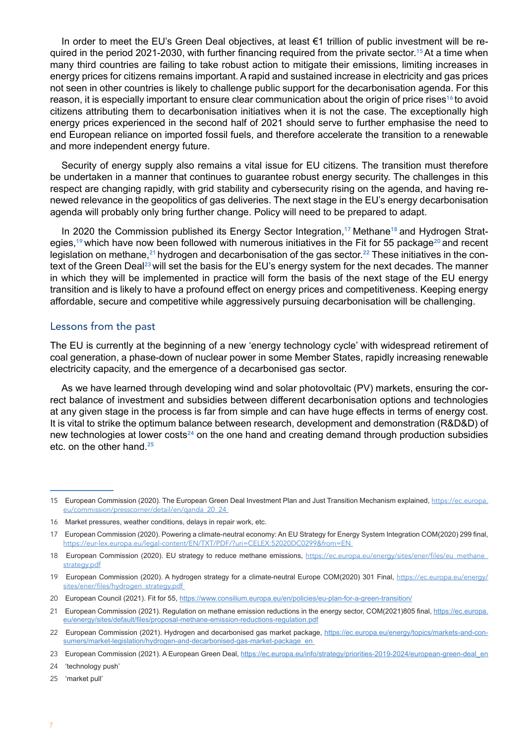<span id="page-6-0"></span>In order to meet the EU's Green Deal objectives, at least €1 trillion of public investment will be required in the period 2021-2030, with further financing required from the private sector.<sup>15</sup>At a time when many third countries are failing to take robust action to mitigate their emissions, limiting increases in energy prices for citizens remains important. A rapid and sustained increase in electricity and gas prices not seen in other countries is likely to challenge public support for the decarbonisation agenda. For this reason, it is especially important to ensure clear communication about the origin of price rises<sup>16</sup> to avoid citizens attributing them to decarbonisation initiatives when it is not the case. The exceptionally high energy prices experienced in the second half of 2021 should serve to further emphasise the need to end European reliance on imported fossil fuels, and therefore accelerate the transition to a renewable and more independent energy future.

Security of energy supply also remains a vital issue for EU citizens. The transition must therefore be undertaken in a manner that continues to guarantee robust energy security. The challenges in this respect are changing rapidly, with grid stability and cybersecurity rising on the agenda, and having renewed relevance in the geopolitics of gas deliveries. The next stage in the EU's energy decarbonisation agenda will probably only bring further change. Policy will need to be prepared to adapt.

In 2020 the Commission published its Energy Sector Integration,<sup>17</sup> Methane<sup>18</sup> and Hydrogen Strategies,<sup>19</sup> which have now been followed with numerous initiatives in the Fit for 55 package<sup>20</sup> and recent legislation on methane,  $21$  hydrogen and decarbonisation of the gas sector.  $22$  These initiatives in the context of the Green Deal<sup>23</sup> will set the basis for the EU's energy system for the next decades. The manner in which they will be implemented in practice will form the basis of the next stage of the EU energy transition and is likely to have a profound effect on energy prices and competitiveness. Keeping energy affordable, secure and competitive while aggressively pursuing decarbonisation will be challenging.

#### Lessons from the past

The EU is currently at the beginning of a new 'energy technology cycle' with widespread retirement of coal generation, a phase-down of nuclear power in some Member States, rapidly increasing renewable electricity capacity, and the emergence of a decarbonised gas sector.

As we have learned through developing wind and solar photovoltaic (PV) markets, ensuring the correct balance of investment and subsidies between different decarbonisation options and technologies at any given stage in the process is far from simple and can have huge effects in terms of energy cost. It is vital to strike the optimum balance between research, development and demonstration (R&D&D) of new technologies at lower costs<sup>24</sup> on the one hand and creating demand through production subsidies etc. on the other hand.<sup>25</sup>

24 'technology push'

<sup>15</sup> European Commission (2020). The European Green Deal Investment Plan and Just Transition Mechanism explained, [https://ec.europa.](https://ec.europa.eu/commission/presscorner/detail/en/qanda_20_24) [eu/commission/presscorner/detail/en/qanda\\_20\\_24](https://ec.europa.eu/commission/presscorner/detail/en/qanda_20_24)

<sup>16</sup> Market pressures, weather conditions, delays in repair work, etc.

<sup>17</sup> European Commission (2020). Powering a climate-neutral economy: An EU Strategy for Energy System Integration COM(2020) 299 final, <https://eur-lex.europa.eu/legal-content/EN/TXT/PDF/?uri=CELEX:52020DC0299&from=EN>

<sup>18</sup> European Commission (2020). EU strategy to reduce methane emissions, [https://ec.europa.eu/energy/sites/ener/files/eu\\_methane\\_](https://ec.europa.eu/energy/sites/ener/files/eu_methane_strategy.pdf) [strategy.pdf](https://ec.europa.eu/energy/sites/ener/files/eu_methane_strategy.pdf)

<sup>19</sup> European Commission (2020). A hydrogen strategy for a climate-neutral Europe COM(2020) 301 Final, [https://ec.europa.eu/energy/](https://ec.europa.eu/energy/sites/ener/files/hydrogen_strategy.pdf) [sites/ener/files/hydrogen\\_strategy.pdf](https://ec.europa.eu/energy/sites/ener/files/hydrogen_strategy.pdf)

<sup>20</sup> European Council (2021). Fit for 55, <https://www.consilium.europa.eu/en/policies/eu-plan-for-a-green-transition/>

<sup>21</sup> European Commission (2021). Regulation on methane emission reductions in the energy sector, COM(2021)805 final, [https://ec.europa.](https://ec.europa.eu/energy/sites/default/files/proposal-methane-emission-reductions-regulation.pdf) [eu/energy/sites/default/files/proposal-methane-emission-reductions-regulation.pdf](https://ec.europa.eu/energy/sites/default/files/proposal-methane-emission-reductions-regulation.pdf)

<sup>22</sup> European Commission (2021). Hydrogen and decarbonised gas market package, [https://ec.europa.eu/energy/topics/markets-and-con](https://ec.europa.eu/energy/topics/markets-and-consumers/market-legislation/hydrogen-and-decarbonised-gas-market-package_en)[sumers/market-legislation/hydrogen-and-decarbonised-gas-market-package\\_en](https://ec.europa.eu/energy/topics/markets-and-consumers/market-legislation/hydrogen-and-decarbonised-gas-market-package_en)\_

<sup>23</sup> European Commission (2021). A European Green Deal, [https://ec.europa.eu/info/strategy/priorities-2019-2024/european-green-deal\\_en](https://ec.europa.eu/info/strategy/priorities-2019-2024/european-green-deal_en)

<sup>25</sup> 'market pull'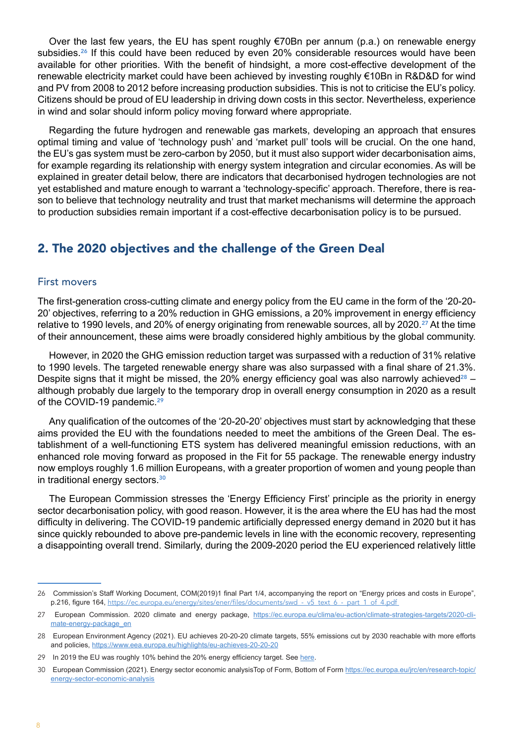<span id="page-7-0"></span>Over the last few years, the EU has spent roughly  $\epsilon$ 70Bn per annum (p.a.) on renewable energy subsidies.<sup>26</sup> If this could have been reduced by even 20% considerable resources would have been available for other priorities. With the benefit of hindsight, a more cost-effective development of the renewable electricity market could have been achieved by investing roughly €10Bn in R&D&D for wind and PV from 2008 to 2012 before increasing production subsidies. This is not to criticise the EU's policy. Citizens should be proud of EU leadership in driving down costs in this sector. Nevertheless, experience in wind and solar should inform policy moving forward where appropriate.

Regarding the future hydrogen and renewable gas markets, developing an approach that ensures optimal timing and value of 'technology push' and 'market pull' tools will be crucial. On the one hand, the EU's gas system must be zero-carbon by 2050, but it must also support wider decarbonisation aims, for example regarding its relationship with energy system integration and circular economies. As will be explained in greater detail below, there are indicators that decarbonised hydrogen technologies are not yet established and mature enough to warrant a 'technology-specific' approach. Therefore, there is reason to believe that technology neutrality and trust that market mechanisms will determine the approach to production subsidies remain important if a cost-effective decarbonisation policy is to be pursued.

# 2. The 2020 objectives and the challenge of the Green Deal

#### First movers

The first-generation cross-cutting climate and energy policy from the EU came in the form of the '20-20- 20' objectives, referring to a 20% reduction in GHG emissions, a 20% improvement in energy efficiency relative to 1990 levels, and 20% of energy originating from renewable sources, all by 2020.<sup>27</sup> At the time of their announcement, these aims were broadly considered highly ambitious by the global community.

However, in 2020 the GHG emission reduction target was surpassed with a reduction of 31% relative to 1990 levels. The targeted renewable energy share was also surpassed with a final share of 21.3%. Despite signs that it might be missed, the 20% energy efficiency goal was also narrowly achieved<sup>28</sup> – although probably due largely to the temporary drop in overall energy consumption in 2020 as a result of the COVID-19 pandemic.<sup>29</sup>

Any qualification of the outcomes of the '20-20-20' objectives must start by acknowledging that these aims provided the EU with the foundations needed to meet the ambitions of the Green Deal. The establishment of a well-functioning ETS system has delivered meaningful emission reductions, with an enhanced role moving forward as proposed in the Fit for 55 package. The renewable energy industry now employs roughly 1.6 million Europeans, with a greater proportion of women and young people than in traditional energy sectors<sup>30</sup>

The European Commission stresses the 'Energy Efficiency First' principle as the priority in energy sector decarbonisation policy, with good reason. However, it is the area where the EU has had the most difficulty in delivering. The COVID-19 pandemic artificially depressed energy demand in 2020 but it has since quickly rebounded to above pre-pandemic levels in line with the economic recovery, representing a disappointing overall trend. Similarly, during the 2009-2020 period the EU experienced relatively little

<sup>26</sup> Commission's Staff Working Document, COM(2019)1 final Part 1/4, accompanying the report on "Energy prices and costs in Europe", p.216, figure 164, https://ec.europa.eu/energy/sites/ener/files/documents/swd -\_v5\_text\_6\_-\_part\_1\_of\_4.pdf

<sup>27</sup> European Commission. 2020 climate and energy package, [https://ec.europa.eu/clima/eu-action/climate-strategies-targets/2020-cli](https://ec.europa.eu/clima/eu-action/climate-strategies-targets/2020-climate-energy-package_en)[mate-energy-package\\_en](https://ec.europa.eu/clima/eu-action/climate-strategies-targets/2020-climate-energy-package_en)

<sup>28</sup> European Environment Agency (2021). EU achieves 20-20-20 climate targets, 55% emissions cut by 2030 reachable with more efforts and policies, <https://www.eea.europa.eu/highlights/eu-achieves-20-20-20>

<sup>29</sup> In 2019 the EU was roughly 10% behind the 20% energy efficiency target. See here.

<sup>30</sup> European Commission (2021). Energy sector economic analysisTop of Form, Bottom of Form [https://ec.europa.eu/jrc/en/research-topic/](https://ec.europa.eu/jrc/en/research-topic/energy-sector-economic-analysis) [energy-sector-economic-analysis](https://ec.europa.eu/jrc/en/research-topic/energy-sector-economic-analysis)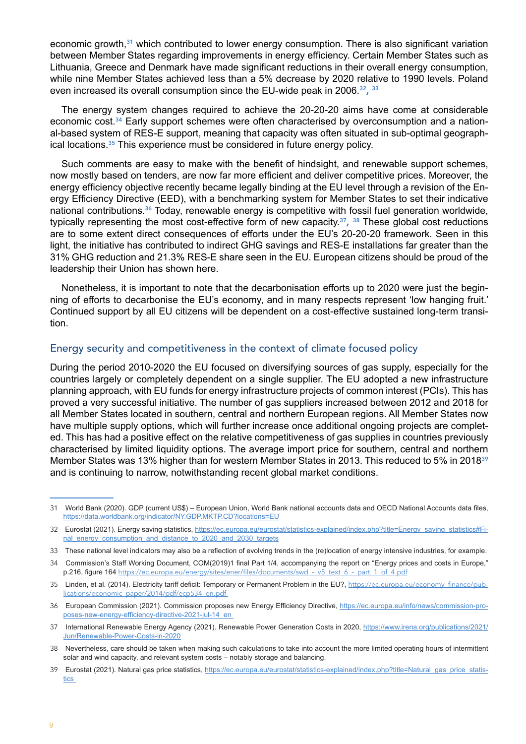<span id="page-8-0"></span>economic growth,<sup>31</sup> which contributed to lower energy consumption. There is also significant variation between Member States regarding improvements in energy efficiency. Certain Member States such as Lithuania, Greece and Denmark have made significant reductions in their overall energy consumption, while nine Member States achieved less than a 5% decrease by 2020 relative to 1990 levels. Poland even increased its overall consumption since the EU-wide peak in 2006.<sup>32</sup>, <sup>33</sup>

The energy system changes required to achieve the 20-20-20 aims have come at considerable economic cost.34 Early support schemes were often characterised by overconsumption and a national-based system of RES-E support, meaning that capacity was often situated in sub-optimal geographical locations.35 This experience must be considered in future energy policy.

Such comments are easy to make with the benefit of hindsight, and renewable support schemes, now mostly based on tenders, are now far more efficient and deliver competitive prices. Moreover, the energy efficiency objective recently became legally binding at the EU level through a revision of the Energy Efficiency Directive (EED), with a benchmarking system for Member States to set their indicative national contributions.<sup>36</sup> Today, renewable energy is competitive with fossil fuel generation worldwide, typically representing the most cost-effective form of new capacity.<sup>37</sup>,  $38$  These global cost reductions are to some extent direct consequences of efforts under the EU's 20-20-20 framework. Seen in this light, the initiative has contributed to indirect GHG savings and RES-E installations far greater than the 31% GHG reduction and 21.3% RES-E share seen in the EU. European citizens should be proud of the leadership their Union has shown here.

Nonetheless, it is important to note that the decarbonisation efforts up to 2020 were just the beginning of efforts to decarbonise the EU's economy, and in many respects represent 'low hanging fruit.' Continued support by all EU citizens will be dependent on a cost-effective sustained long-term transition.

#### Energy security and competitiveness in the context of climate focused policy

During the period 2010-2020 the EU focused on diversifying sources of gas supply, especially for the countries largely or completely dependent on a single supplier. The EU adopted a new infrastructure planning approach, with EU funds for energy infrastructure projects of common interest (PCIs). This has proved a very successful initiative. The number of gas suppliers increased between 2012 and 2018 for all Member States located in southern, central and northern European regions. All Member States now have multiple supply options, which will further increase once additional ongoing projects are completed. This has had a positive effect on the relative competitiveness of gas supplies in countries previously characterised by limited liquidity options. The average import price for southern, central and northern Member States was 13% higher than for western Member States in 2013. This reduced to 5% in 2018<sup>39</sup> and is continuing to narrow, notwithstanding recent global market conditions.

<sup>31</sup> World Bank (2020). GDP (current US\$) – European Union, World Bank national accounts data and OECD National Accounts data files, <https://data.worldbank.org/indicator/NY.GDP.MKTP.CD?locations=EU>

<sup>32</sup> Eurostat (2021). Energy saving statistics, https://ec.europa.eu/eurostat/statistics-explained/index.php?title=Energy\_saving\_statistics#Final\_energy\_consumption\_and\_distance\_to\_2020\_and\_2030\_targets

<sup>33</sup> These national level indicators may also be a reflection of evolving trends in the (re)location of energy intensive industries, for example.

<sup>34</sup> Commission's Staff Working Document, COM(2019)1 final Part 1/4, accompanying the report on "Energy prices and costs in Europe," p.216, figure 164 https://ec.europa.eu/energy/sites/ener/files/documents/swd - v5\_text\_6\_-\_part\_1\_of\_4.pdf

<sup>35</sup> Linden, et al. (2014). Electricity tariff deficit: Temporary or Permanent Problem in the EU?, [https://ec.europa.eu/economy\\_finance/pub](https://ec.europa.eu/economy_finance/publications/economic_paper/2014/pdf/ecp534_en.pdf)[lications/economic\\_paper/2014/pdf/ecp534\\_en.pdf](https://ec.europa.eu/economy_finance/publications/economic_paper/2014/pdf/ecp534_en.pdf)

<sup>36</sup> European Commission (2021). Commission proposes new Energy Efficiency Directive, [https://ec.europa.eu/info/news/commission-pro](https://ec.europa.eu/info/news/commission-proposes-new-energy-efficiency-directive-2021-jul-14_en)[poses-new-energy-efficiency-directive-2021-jul-14\\_en](https://ec.europa.eu/info/news/commission-proposes-new-energy-efficiency-directive-2021-jul-14_en)

<sup>37</sup> International Renewable Energy Agency (2021). Renewable Power Generation Costs in 2020, [https://www.irena.org/publications/2021/](https://www.irena.org/publications/2021/Jun/Renewable-Power-Costs-in-2020) [Jun/Renewable-Power-Costs-in-2020](https://www.irena.org/publications/2021/Jun/Renewable-Power-Costs-in-2020)

<sup>38</sup> Nevertheless, care should be taken when making such calculations to take into account the more limited operating hours of intermittent solar and wind capacity, and relevant system costs – notably storage and balancing.

<sup>39</sup> Eurostat (2021). Natural gas price statistics, [https://ec.europa.eu/eurostat/statistics-explained/index.php?title=Natural\\_gas\\_price\\_statis](https://ec.europa.eu/eurostat/statistics-explained/index.php?title=Natural_gas_price_statistics)[tics](https://ec.europa.eu/eurostat/statistics-explained/index.php?title=Natural_gas_price_statistics)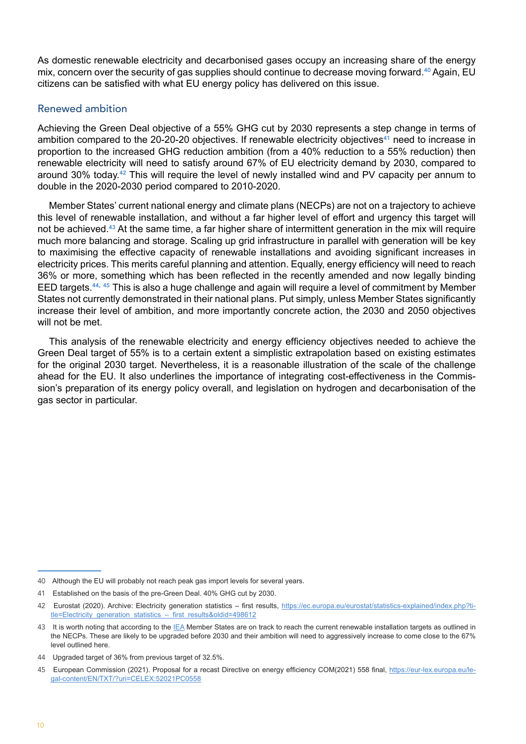<span id="page-9-0"></span>As domestic renewable electricity and decarbonised gases occupy an increasing share of the energy mix, concern over the security of gas supplies should continue to decrease moving forward.<sup>40</sup> Again. EU citizens can be satisfied with what EU energy policy has delivered on this issue.

#### Renewed ambition

Achieving the Green Deal objective of a 55% GHG cut by 2030 represents a step change in terms of ambition compared to the 20-20-20 objectives. If renewable electricity objectives<sup>41</sup> need to increase in proportion to the increased GHG reduction ambition (from a 40% reduction to a 55% reduction) then renewable electricity will need to satisfy around 67% of EU electricity demand by 2030, compared to around 30% today.42 This will require the level of newly installed wind and PV capacity per annum to double in the 2020-2030 period compared to 2010-2020.

Member States' current national energy and climate plans (NECPs) are not on a trajectory to achieve this level of renewable installation, and without a far higher level of effort and urgency this target will not be achieved.<sup>43</sup> At the same time, a far higher share of intermittent generation in the mix will require much more balancing and storage. Scaling up grid infrastructure in parallel with generation will be key to maximising the effective capacity of renewable installations and avoiding significant increases in electricity prices. This merits careful planning and attention. Equally, energy efficiency will need to reach 36% or more, something which has been reflected in the recently amended and now legally binding EED targets.44, <sup>45</sup> This is also a huge challenge and again will require a level of commitment by Member States not currently demonstrated in their national plans. Put simply, unless Member States significantly increase their level of ambition, and more importantly concrete action, the 2030 and 2050 objectives will not be met.

This analysis of the renewable electricity and energy efficiency objectives needed to achieve the Green Deal target of 55% is to a certain extent a simplistic extrapolation based on existing estimates for the original 2030 target. Nevertheless, it is a reasonable illustration of the scale of the challenge ahead for the EU. It also underlines the importance of integrating cost-effectiveness in the Commission's preparation of its energy policy overall, and legislation on hydrogen and decarbonisation of the gas sector in particular.

<sup>40</sup> Although the EU will probably not reach peak gas import levels for several years.

<sup>41</sup> Established on the basis of the pre-Green Deal. 40% GHG cut by 2030.

<sup>42</sup> Eurostat (2020). Archive: Electricity generation statistics – first results, [https://ec.europa.eu/eurostat/statistics-explained/index.php?ti](https://ec.europa.eu/eurostat/statistics-explained/index.php?title=Electricity_generation_statistics_–_first_results&oldid=498612)tle=Electricity\_generation\_statistics – first\_results&oldid=498612

<sup>43</sup> It is worth noting that according to the [IEA](https://iea.blob.core.windows.net/assets/5ae32253-7409-4f9a-a91d-1493ffb9777a/Renewables2021-Analysisandforecastto2026.pdf) Member States are on track to reach the current renewable installation targets as outlined in the NECPs. These are likely to be upgraded before 2030 and their ambition will need to aggressively increase to come close to the 67% level outlined here.

<sup>44</sup> Upgraded target of 36% from previous target of 32.5%.

<sup>45</sup> European Commission (2021). Proposal for a recast Directive on energy efficiency COM(2021) 558 final, [https://eur-lex.europa.eu/le](https://eur-lex.europa.eu/legal-content/EN/TXT/?uri=CELEX:52021PC0558)[gal-content/EN/TXT/?uri=CELEX:52021PC0558](https://eur-lex.europa.eu/legal-content/EN/TXT/?uri=CELEX:52021PC0558)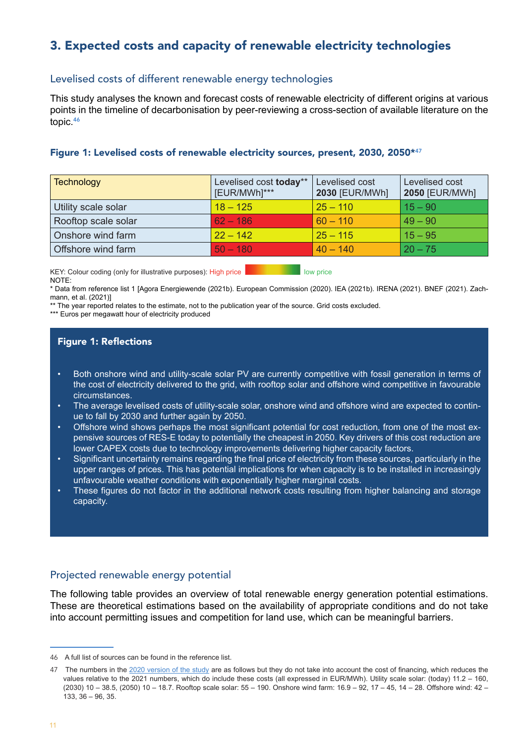# <span id="page-10-0"></span>3. Expected costs and capacity of renewable electricity technologies

#### Levelised costs of different renewable energy technologies

This study analyses the known and forecast costs of renewable electricity of different origins at various points in the timeline of decarbonisation by peer-reviewing a cross-section of available literature on the topic.<sup>46</sup>

#### Figure 1: Levelised costs of renewable electricity sources, present, 2030, 2050\*47

| <b>Technology</b>   | Levelised cost today**<br>[EUR/MWh]*** | Levelised cost<br>2030 [EUR/MWh] | Levelised cost<br><b>2050 [EUR/MWh]</b> |
|---------------------|----------------------------------------|----------------------------------|-----------------------------------------|
| Utility scale solar | $18 - 125$                             | $25 - 110$                       | $15 - 90$                               |
| Rooftop scale solar | $62 - 186$                             | $60 - 110$                       | $49 - 90$                               |
| Onshore wind farm   | $22 - 142$                             | $25 - 115$                       | $15 - 95$                               |
| Offshore wind farm  | $50 - 180$                             | $40 - 140$                       | $20 - 75$                               |

KEY: Colour coding (only for illustrative purposes): High price **Low Price Low Price** low price NOTE:

\* Data from reference list 1 [Agora Energiewende (2021b). European Commission (2020). IEA (2021b). IRENA (2021). BNEF (2021). Zachmann, et al. (2021)]

\*\* The year reported relates to the estimate, not to the publication year of the source. Grid costs excluded.

\*\*\* Euros per megawatt hour of electricity produced

#### Figure 1: Reflections

- Both onshore wind and utility-scale solar PV are currently competitive with fossil generation in terms of the cost of electricity delivered to the grid, with rooftop solar and offshore wind competitive in favourable circumstances.
- The average levelised costs of utility-scale solar, onshore wind and offshore wind are expected to continue to fall by 2030 and further again by 2050.
- Offshore wind shows perhaps the most significant potential for cost reduction, from one of the most expensive sources of RES-E today to potentially the cheapest in 2050. Key drivers of this cost reduction are lower CAPEX costs due to technology improvements delivering higher capacity factors.
- Significant uncertainty remains regarding the final price of electricity from these sources, particularly in the upper ranges of prices. This has potential implications for when capacity is to be installed in increasingly unfavourable weather conditions with exponentially higher marginal costs.
- These figures do not factor in the additional network costs resulting from higher balancing and storage capacity.

#### Projected renewable energy potential

The following table provides an overview of total renewable energy generation potential estimations. These are theoretical estimations based on the availability of appropriate conditions and do not take into account permitting issues and competition for land use, which can be meaningful barriers.

<sup>46</sup> A full list of sources can be found in the reference list.

<sup>47</sup> The numbers in the [2020 version of the study](https://fsr.eui.eu/publications/?handle=1814/68977) are as follows but they do not take into account the cost of financing, which reduces the values relative to the 2021 numbers, which do include these costs (all expressed in EUR/MWh). Utility scale solar: (today) 11.2 – 160, (2030) 10 – 38.5, (2050) 10 – 18.7. Rooftop scale solar: 55 – 190. Onshore wind farm: 16.9 – 92, 17 – 45, 14 – 28. Offshore wind: 42 – 133, 36 – 96, 35.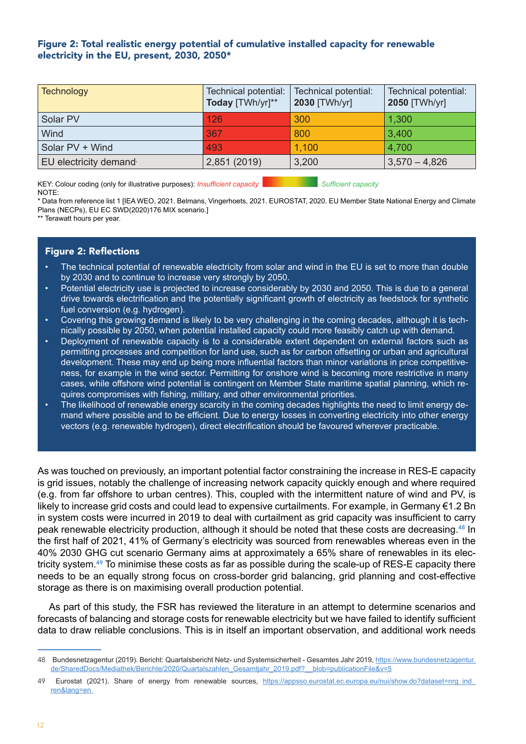#### Figure 2: Total realistic energy potential of cumulative installed capacity for renewable electricity in the EU, present, 2030, 2050\*

| <b>Technology</b>     | Technical potential:<br>Today [TWh/yr]** | Technical potential:<br>2030 [TWh/yr] | Technical potential:<br>2050 [TWh/yr] |
|-----------------------|------------------------------------------|---------------------------------------|---------------------------------------|
| Solar PV              | 126                                      | 300                                   | 1,300                                 |
| Wind                  | 367                                      | 800                                   | 3,400                                 |
| Solar PV + Wind       | 493                                      | 1,100                                 | 4,700                                 |
| EU electricity demand | 2,851 (2019)                             | 3,200                                 | $3,570 - 4,826$                       |

KEY: Colour coding (only for illustrative purposes): *Insufficient capacity* Sufficient *Sufficient capacity* NOTE:

\* Data from reference list 1 [IEA WEO, 2021. Belmans, Vingerhoets, 2021. EUROSTAT, 2020. EU Member State National Energy and Climate Plans (NECPs), EU EC SWD(2020)176 MIX scenario.]

\*\* Terawatt hours per year.

#### Figure 2: Reflections

- The technical potential of renewable electricity from solar and wind in the EU is set to more than double by 2030 and to continue to increase very strongly by 2050.
- Potential electricity use is projected to increase considerably by 2030 and 2050. This is due to a general drive towards electrification and the potentially significant growth of electricity as feedstock for synthetic fuel conversion (e.g. hydrogen).
- Covering this growing demand is likely to be very challenging in the coming decades, although it is technically possible by 2050, when potential installed capacity could more feasibly catch up with demand.
- Deployment of renewable capacity is to a considerable extent dependent on external factors such as permitting processes and competition for land use, such as for carbon offsetting or urban and agricultural development. These may end up being more influential factors than minor variations in price competitiveness, for example in the wind sector. Permitting for onshore wind is becoming more restrictive in many cases, while offshore wind potential is contingent on Member State maritime spatial planning, which requires compromises with fishing, military, and other environmental priorities.
- The likelihood of renewable energy scarcity in the coming decades highlights the need to limit energy demand where possible and to be efficient. Due to energy losses in converting electricity into other energy vectors (e.g. renewable hydrogen), direct electrification should be favoured wherever practicable.

As was touched on previously, an important potential factor constraining the increase in RES-E capacity is grid issues, notably the challenge of increasing network capacity quickly enough and where required (e.g. from far offshore to urban centres). This, coupled with the intermittent nature of wind and PV, is likely to increase grid costs and could lead to expensive curtailments. For example, in Germany €1.2 Bn in system costs were incurred in 2019 to deal with curtailment as grid capacity was insufficient to carry peak renewable electricity production, although it should be noted that these costs are decreasing.48 In the first half of 2021, 41% of Germany's electricity was sourced from renewables whereas even in the 40% 2030 GHG cut scenario Germany aims at approximately a 65% share of renewables in its electricity system.49 To minimise these costs as far as possible during the scale-up of RES-E capacity there needs to be an equally strong focus on cross-border grid balancing, grid planning and cost-effective storage as there is on maximising overall production potential.

As part of this study, the FSR has reviewed the literature in an attempt to determine scenarios and forecasts of balancing and storage costs for renewable electricity but we have failed to identify sufficient data to draw reliable conclusions. This is in itself an important observation, and additional work needs

<sup>48</sup> Bundesnetzagentur (2019). Bericht: Quartalsbericht Netz- und Systemsicherheit - Gesamtes Jahr 2019, [https://www.bundesnetzagentur.](https://www.bundesnetzagentur.de/SharedDocs/Mediathek/Berichte/2020/Quartalszahlen_Gesamtjahr_2019.pdf?__blob=publicationFile&v=5) [de/SharedDocs/Mediathek/Berichte/2020/Quartalszahlen\\_Gesamtjahr\\_2019.pdf?\\_\\_blob=publicationFile&v=5](https://www.bundesnetzagentur.de/SharedDocs/Mediathek/Berichte/2020/Quartalszahlen_Gesamtjahr_2019.pdf?__blob=publicationFile&v=5)

<sup>49</sup> Eurostat (2021). Share of energy from renewable sources, [https://appsso.eurostat.ec.europa.eu/nui/show.do?dataset=nrg\\_ind\\_](https://appsso.eurostat.ec.europa.eu/nui/show.do?dataset=nrg_ind_ren&lang=en) [ren&lang=en](https://appsso.eurostat.ec.europa.eu/nui/show.do?dataset=nrg_ind_ren&lang=en)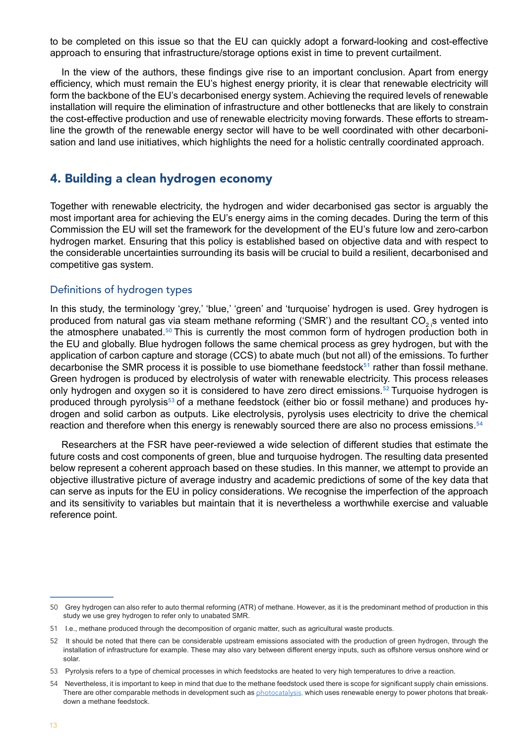<span id="page-12-0"></span>to be completed on this issue so that the EU can quickly adopt a forward-looking and cost-effective approach to ensuring that infrastructure/storage options exist in time to prevent curtailment.

In the view of the authors, these findings give rise to an important conclusion. Apart from energy efficiency, which must remain the EU's highest energy priority, it is clear that renewable electricity will form the backbone of the EU's decarbonised energy system. Achieving the required levels of renewable installation will require the elimination of infrastructure and other bottlenecks that are likely to constrain the cost-effective production and use of renewable electricity moving forwards. These efforts to streamline the growth of the renewable energy sector will have to be well coordinated with other decarbonisation and land use initiatives, which highlights the need for a holistic centrally coordinated approach.

## 4. Building a clean hydrogen economy

Together with renewable electricity, the hydrogen and wider decarbonised gas sector is arguably the most important area for achieving the EU's energy aims in the coming decades. During the term of this Commission the EU will set the framework for the development of the EU's future low and zero-carbon hydrogen market. Ensuring that this policy is established based on objective data and with respect to the considerable uncertainties surrounding its basis will be crucial to build a resilient, decarbonised and competitive gas system.

#### Definitions of hydrogen types

In this study, the terminology 'grey,' 'blue,' 'green' and 'turquoise' hydrogen is used. Grey hydrogen is produced from natural gas via steam methane reforming ('SMR') and the resultant CO<sub>2</sub> s vented into the atmosphere unabated.<sup>50</sup> This is currently the most common form of hydrogen production both in the EU and globally. Blue hydrogen follows the same chemical process as grey hydrogen, but with the application of carbon capture and storage (CCS) to abate much (but not all) of the emissions. To further decarbonise the SMR process it is possible to use biomethane feedstock $51$  rather than fossil methane. Green hydrogen is produced by electrolysis of water with renewable electricity. This process releases only hydrogen and oxygen so it is considered to have zero direct emissions.<sup>52</sup> Turquoise hydrogen is produced through pyrolysis<sup>53</sup> of a methane feedstock (either bio or fossil methane) and produces hydrogen and solid carbon as outputs. Like electrolysis, pyrolysis uses electricity to drive the chemical reaction and therefore when this energy is renewably sourced there are also no process emissions.<sup>54</sup>

Researchers at the FSR have peer-reviewed a wide selection of different studies that estimate the future costs and cost components of green, blue and turquoise hydrogen. The resulting data presented below represent a coherent approach based on these studies. In this manner, we attempt to provide an objective illustrative picture of average industry and academic predictions of some of the key data that can serve as inputs for the EU in policy considerations. We recognise the imperfection of the approach and its sensitivity to variables but maintain that it is nevertheless a worthwhile exercise and valuable reference point.

<sup>50</sup> Grey hydrogen can also refer to auto thermal reforming (ATR) of methane. However, as it is the predominant method of production in this study we use grey hydrogen to refer only to unabated SMR.

<sup>51</sup> I.e., methane produced through the decomposition of organic matter, such as agricultural waste products.

<sup>52</sup> It should be noted that there can be considerable upstream emissions associated with the production of green hydrogen, through the installation of infrastructure for example. These may also vary between different energy inputs, such as offshore versus onshore wind or solar.

<sup>53</sup> Pyrolysis refers to a type of chemical processes in which feedstocks are heated to very high temperatures to drive a reaction.

<sup>54</sup> Nevertheless, it is important to keep in mind that due to the methane feedstock used there is scope for significant supply chain emissions. There are other comparable methods in development such as [photocatalysis](https://fsr.eui.eu/technology-neutrality-in-hydrogen-opportunities-and-challenges-photocatalysis/), which uses renewable energy to power photons that breakdown a methane feedstock.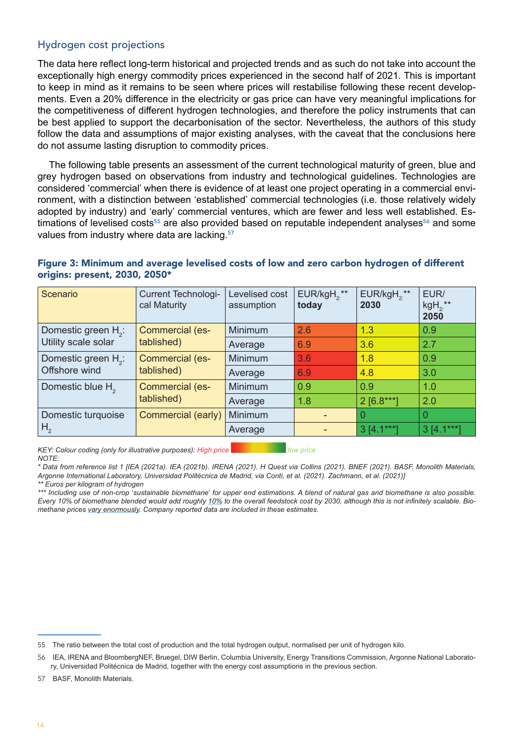#### <span id="page-13-0"></span>Hydrogen cost projections

The data here reflect long-term historical and projected trends and as such do not take into account the exceptionally high energy commodity prices experienced in the second half of 2021. This is important to keep in mind as it remains to be seen where prices will restabilise following these recent developments. Even a 20% difference in the electricity or gas price can have very meaningful implications for the competitiveness of different hydrogen technologies, and therefore the policy instruments that can be best applied to support the decarbonisation of the sector. Nevertheless, the authors of this study follow the data and assumptions of major existing analyses, with the caveat that the conclusions here do not assume lasting disruption to commodity prices.

The following table presents an assessment of the current technological maturity of green, blue and grey hydrogen based on observations from industry and technological guidelines. Technologies are considered 'commercial' when there is evidence of at least one project operating in a commercial environment, with a distinction between 'established' commercial technologies (i.e. those relatively widely adopted by industry) and 'early' commercial ventures, which are fewer and less well established. Estimations of levelised costs<sup>55</sup> are also provided based on reputable independent analyses<sup>56</sup> and some values from industry where data are lacking.<sup>57</sup>

#### Figure 3: Minimum and average levelised costs of low and zero carbon hydrogen of different origins: present, 2030, 2050\*

| Scenario                        | <b>Current Technologi-</b><br>cal Maturity | Levelised cost<br>assumption | $EUR/kgH, **$<br>today | $EUR/kgH_2$ **<br>2030 | EUR/<br>$kgH_2$ **<br>2050 |
|---------------------------------|--------------------------------------------|------------------------------|------------------------|------------------------|----------------------------|
| Domestic green H <sub>2</sub> : | Commercial (es-<br>tablished)              | <b>Minimum</b>               | 2.6                    | 1.3                    | 0.9                        |
| Utility scale solar             |                                            | Average                      | 6.9                    | 3.6                    | 2.7                        |
| Domestic green H <sub>2</sub> : | <b>Commercial (es-</b><br>tablished)       | Minimum                      | 3.6                    | 1.8                    | 0.9                        |
| Offshore wind                   |                                            | Average                      | 6.9                    | 4.8                    | 3.0                        |
| Domestic blue H <sub>2</sub>    | <b>Commercial (es-</b><br>tablished)       | <b>Minimum</b>               | 0.9                    | 0.9                    | 1.0                        |
|                                 |                                            | Average                      | 1.8                    | $2$ [6.8***]           | 2.0                        |
| Domestic turquoise              | Commercial (early)                         | Minimum                      |                        |                        |                            |
| H <sub>2</sub>                  |                                            | Average                      |                        | $3[4.1***]$            | $3[4.1***]$                |

*KEY: Colour coding (only for illustrative purposes): High price low price NOTE:* 

*\* Data from reference list 1 [IEA (2021a). IEA (2021b). IRENA (2021). H Quest via Collins (2021). BNEF (2021). BASF, Monolith Materials, Argonne International Laboratory, Universidad Politécnica de Madrid, via Conti, et al. (2021). Zachmann, et al. (2021)]*

*<sup>\*\*</sup> Euros per kilogram of hydrogen*

*<sup>\*\*\*</sup> Including use of non-crop* '*sustainable biomethane*' *for upper end estimations. A blend of natural gas and biomethane is also possible. Every 10% of biomethane blended would add roughly [10%](https://www.engie.com/sites/default/files/assets/documents/2021-07/ENGIE_20210618_Biogas_potential_and_costs_in_2050_report_1.pdf) to the overall feedstock cost by 2030, although this is not infinitely scalable. Biomethane prices [vary enormously.](https://iea.blob.core.windows.net/assets/03aeb10c-c38c-4d10-bcec-de92e9ab815f/Outlook_for_biogas_and_biomethane.pdf) Company reported data are included in these estimates.*

<sup>55</sup> The ratio between the total cost of production and the total hydrogen output, normalised per unit of hydrogen kilo.

<sup>56</sup> IEA, IRENA and BloombergNEF, Bruegel, DIW Berlin, Columbia University, Energy Transitions Commission, Argonne National Laboratory, Universidad Politécnica de Madrid, together with the energy cost assumptions in the previous section.

<sup>57</sup> BASF, Monolith Materials.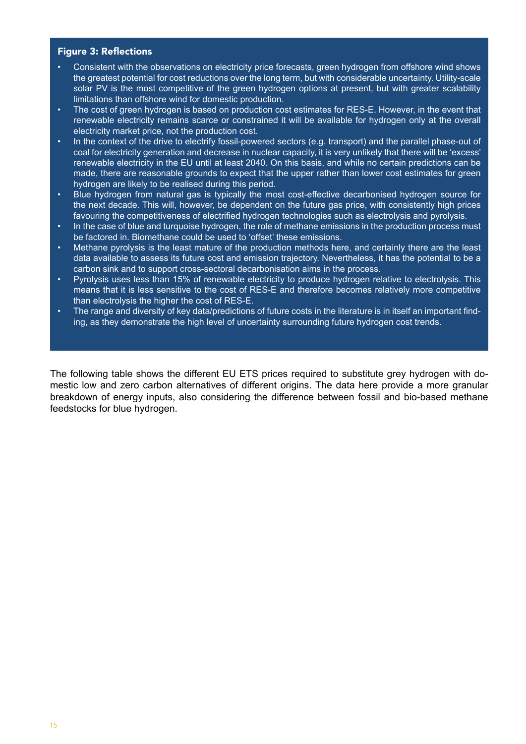#### Figure 3: Reflections

- Consistent with the observations on electricity price forecasts, green hydrogen from offshore wind shows the greatest potential for cost reductions over the long term, but with considerable uncertainty. Utility-scale solar PV is the most competitive of the green hydrogen options at present, but with greater scalability limitations than offshore wind for domestic production.
- The cost of green hydrogen is based on production cost estimates for RES-E. However, in the event that renewable electricity remains scarce or constrained it will be available for hydrogen only at the overall electricity market price, not the production cost.
- In the context of the drive to electrify fossil-powered sectors (e.g. transport) and the parallel phase-out of coal for electricity generation and decrease in nuclear capacity, it is very unlikely that there will be 'excess' renewable electricity in the EU until at least 2040. On this basis, and while no certain predictions can be made, there are reasonable grounds to expect that the upper rather than lower cost estimates for green hydrogen are likely to be realised during this period.
- Blue hydrogen from natural gas is typically the most cost-effective decarbonised hydrogen source for the next decade. This will, however, be dependent on the future gas price, with consistently high prices favouring the competitiveness of electrified hydrogen technologies such as electrolysis and pyrolysis.
- In the case of blue and turquoise hydrogen, the role of methane emissions in the production process must be factored in. Biomethane could be used to 'offset' these emissions.
- Methane pyrolysis is the least mature of the production methods here, and certainly there are the least data available to assess its future cost and emission trajectory. Nevertheless, it has the potential to be a carbon sink and to support cross-sectoral decarbonisation aims in the process.
- Pyrolysis uses less than [15%](https://pubs.acs.org/doi/10.1021/acs.iecr.1c01679) of renewable electricity to produce hydrogen relative to electrolysis. This means that it is less sensitive to the cost of RES-E and therefore becomes relatively more competitive than electrolysis the higher the cost of RES-E.
- The range and diversity of key data/predictions of future costs in the literature is in itself an important finding, as they demonstrate the high level of uncertainty surrounding future hydrogen cost trends.

The following table shows the different EU ETS prices required to substitute grey hydrogen with domestic low and zero carbon alternatives of different origins. The data here provide a more granular breakdown of energy inputs, also considering the difference between fossil and bio-based methane feedstocks for blue hydrogen.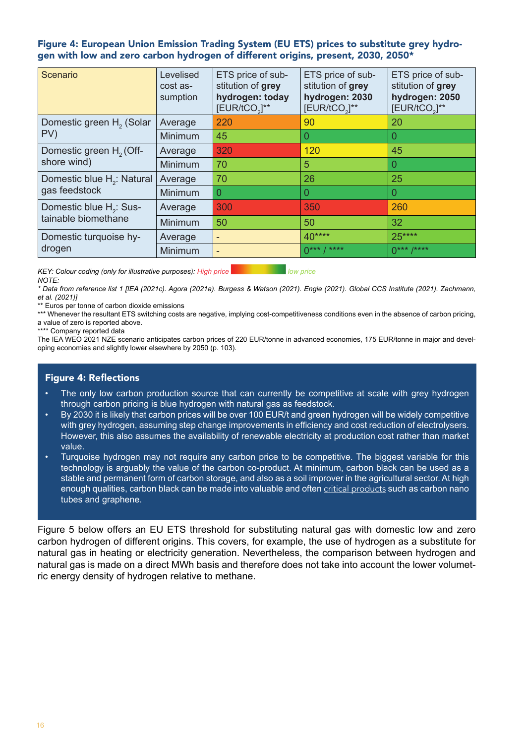#### Figure 4: European Union Emission Trading System (EU ETS) prices to substitute grey hydrogen with low and zero carbon hydrogen of different origins, present, 2030, 2050\*

| Scenario                               | Levelised<br>cost as-<br>sumption | ETS price of sub-<br>stitution of grey<br>hydrogen: today<br>[EUR/tCO <sub>2</sub> ]** | ETS price of sub-<br>stitution of grey<br>hydrogen: 2030<br>$[EUR/ tCO3]**$ | ETS price of sub-<br>stitution of grey<br>hydrogen: 2050<br>$[EUR/ tCO3]**$ |
|----------------------------------------|-----------------------------------|----------------------------------------------------------------------------------------|-----------------------------------------------------------------------------|-----------------------------------------------------------------------------|
| Domestic green H <sub>2</sub> (Solar   | Average                           | 220                                                                                    | 90                                                                          | 20                                                                          |
| PV)                                    | <b>Minimum</b>                    | 45                                                                                     | 0                                                                           | 0                                                                           |
| Domestic green H <sub>2</sub> (Off-    | Average                           | 320                                                                                    | 120                                                                         | 45                                                                          |
| shore wind)                            | <b>Minimum</b>                    | 70                                                                                     | 5                                                                           | 0                                                                           |
| Domestic blue H <sub>2</sub> : Natural | Average                           | 70                                                                                     | 26                                                                          | 25                                                                          |
| gas feedstock                          | <b>Minimum</b>                    | $\bm{0}$                                                                               | 0                                                                           | 0                                                                           |
| Domestic blue H <sub>2</sub> : Sus-    | Average                           | 300                                                                                    | 350                                                                         | 260                                                                         |
| tainable biomethane                    | Minimum                           | 50                                                                                     | 50                                                                          | 32                                                                          |
| Domestic turquoise hy-                 | Average                           | $\overline{\phantom{a}}$                                                               | $40***$                                                                     | 25****                                                                      |
| drogen                                 | Minimum                           | $\overline{\phantom{a}}$                                                               | $0***$ / ****                                                               | $0***$ /****                                                                |

*KEY: Colour coding (only for illustrative purposes): High price low price NOTE:* 

*\* Data from reference list 1 [IEA (2021c). Agora (2021a). Burgess & Watson (2021). Engie (2021). Global CCS Institute (2021). Zachmann, et al. (2021)]*

\*\* Euros per tonne of carbon dioxide emissions

\*\*\* Whenever the resultant ETS switching costs are negative, implying cost-competitiveness conditions even in the absence of carbon pricing, a value of zero is reported above.

\*\*\*\* Company reported data

The IEA WEO 2021 NZE scenario anticipates carbon prices of 220 EUR/tonne in advanced economies, 175 EUR/tonne in major and developing economies and slightly lower elsewhere by 2050 (p. 103).

#### Figure 4: Reflections

- The only low carbon production source that can currently be competitive at scale with grey hydrogen through carbon pricing is blue hydrogen with natural gas as feedstock.
- By 2030 it is likely that carbon prices will be over 100 EUR/t and green hydrogen will be widely competitive with grey hydrogen, assuming step change improvements in efficiency and cost reduction of electrolysers. However, this also assumes the availability of renewable electricity at production cost rather than market value.
- Turquoise hydrogen may not require any carbon price to be competitive. The biggest variable for this technology is arguably the value of the carbon co-product. At minimum, carbon black can be used as a stable and permanent form of carbon storage, and also as a soil improver in the agricultural sector. At high enough qualities, carbon black can be made into valuable and often [critical products](https://weee4future.eitrawmaterials.eu/wp-content/uploads/2020/09/09_report-of-CRM-and-CE.pdf) such as carbon nano tubes and graphene.

Figure 5 below offers an EU ETS threshold for substituting natural gas with domestic low and zero carbon hydrogen of different origins. This covers, for example, the use of hydrogen as a substitute for natural gas in heating or electricity generation. Nevertheless, the comparison between hydrogen and natural gas is made on a direct MWh basis and therefore does not take into account the lower volumetric energy density of hydrogen relative to methane.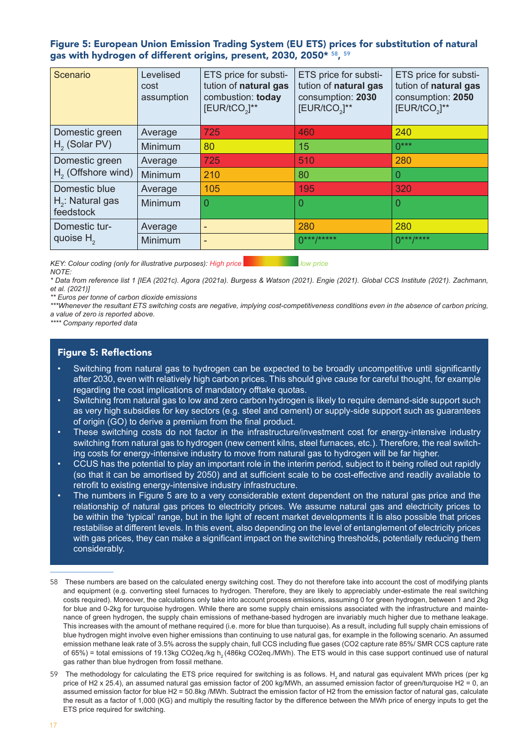Figure 5: European Union Emission Trading System (EU ETS) prices for substitution of natural gas with hydrogen of different origins, present, 2030, 2050\* <sup>58</sup>, <sup>59</sup>

| Scenario                         | Levelised<br>cost<br>assumption | ETS price for substi-<br>tution of natural gas<br>combustion: today<br>$[EUR/ tCO3]**$ | ETS price for substi-<br>tution of natural gas<br>consumption: 2030<br>[EUR/tCO <sub>2</sub> ]** | ETS price for substi-<br>tution of natural gas<br>consumption: 2050<br>[EUR/tCO <sub>2</sub> ]** |
|----------------------------------|---------------------------------|----------------------------------------------------------------------------------------|--------------------------------------------------------------------------------------------------|--------------------------------------------------------------------------------------------------|
| Domestic green                   | Average                         | 725                                                                                    | 460                                                                                              | 240                                                                                              |
| $H2$ (Solar PV)                  | Minimum                         | 80                                                                                     | 15                                                                                               | $0***$                                                                                           |
| Domestic green                   | Average                         | 725                                                                                    | 510                                                                                              | 280                                                                                              |
| $H2$ (Offshore wind)             | Minimum                         | 210                                                                                    | 80                                                                                               | 0                                                                                                |
| Domestic blue                    | Average                         | 105                                                                                    | 195                                                                                              | 320                                                                                              |
| $H_2$ : Natural gas<br>feedstock | Minimum                         | $\Omega$                                                                               | $\Omega$                                                                                         | 0                                                                                                |
| Domestic tur-                    | Average                         | -                                                                                      | 280                                                                                              | 280                                                                                              |
| quoise $H2$                      | Minimum                         |                                                                                        | n***/*****                                                                                       | $0***$ /****                                                                                     |

*KEY: Colour coding (only for illustrative purposes): High price low and all low price NOTE:* 

*\* Data from reference list 1 [IEA (2021c). Agora (2021a). Burgess & Watson (2021). Engie (2021). Global CCS Institute (2021). Zachmann, et al. (2021)]*

*\*\* Euros per tonne of carbon dioxide emissions* 

*\*\*\*Whenever the resultant ETS switching costs are negative, implying cost-competitiveness conditions even in the absence of carbon pricing, a value of zero is reported above.* 

*\*\*\*\* Company reported data* 

#### Figure 5: Reflections

- Switching from natural gas to hydrogen can be expected to be broadly uncompetitive until significantly after 2030, even with relatively high carbon prices. This should give cause for careful thought, for example regarding the cost implications of mandatory offtake quotas.
- Switching from natural gas to low and zero carbon hydrogen is likely to require demand-side support such as very high subsidies for key sectors (e.g. steel and cement) or supply-side support such as guarantees of origin (GO) to derive a premium from the final product.
- These switching costs do not factor in the infrastructure/investment cost for energy-intensive industry switching from natural gas to hydrogen (new cement kilns, steel furnaces, etc.). Therefore, the real switching costs for energy-intensive industry to move from natural gas to hydrogen will be far higher.
- CCUS has the potential to play an important role in the interim period, subject to it being rolled out rapidly (so that it can be amortised by 2050) and at sufficient scale to be cost-effective and readily available to retrofit to existing energy-intensive industry infrastructure.
- The numbers in Figure 5 are to a very considerable extent dependent on the natural gas price and the relationship of natural gas prices to electricity prices. We assume natural gas and electricity prices to be within the 'typical' range, but in the light of recent market developments it is also possible that prices restabilise at different levels. In this event, also depending on the level of entanglement of electricity prices with gas prices, they can make a significant impact on the switching thresholds, potentially reducing them considerably.
- 58 These numbers are based on the calculated energy switching cost. They do not therefore take into account the cost of modifying plants and equipment (e.g. converting steel furnaces to hydrogen. Therefore, they are likely to appreciably under-estimate the real switching costs required). Moreover, the calculations only take into account process emissions, assuming 0 for green hydrogen, between 1 and 2kg for blue and 0-2kg for turquoise hydrogen. While there are some supply chain emissions associated with the infrastructure and maintenance of green hydrogen, the supply chain emissions of methane-based hydrogen are invariably much higher due to methane leakage. This increases with the amount of methane required (i.e. more for blue than turquoise). As a result, including full supply chain emissions of blue hydrogen might involve even higher emissions than continuing to use natural gas, for example in the following scenario. An assumed emission methane leak rate of 3.5% across the supply chain, full CCS including flue gases (CO2 capture rate 85%/ SMR CCS capture rate of 65%) = total emissions of 19.13kg CO2eq./kg h<sub>2</sub> (486kg CO2eq./MWh). The ETS would in this case support continued use of natural gas rather than blue hydrogen from fossil methane.
- 59 The methodology for calculating the ETS price required for switching is as follows. H<sub>2</sub> and natural gas equivalent MWh prices (per kg price of H2 x 25.4), an assumed natural gas emission factor of 200 kg/MWh, an assumed emission factor of green/turquoise H2 = 0, an assumed emission factor for blue H2 = 50.8kg /MWh. Subtract the emission factor of H2 from the emission factor of natural gas, calculate the result as a factor of 1,000 (KG) and multiply the resulting factor by the difference between the MWh price of energy inputs to get the ETS price required for switching.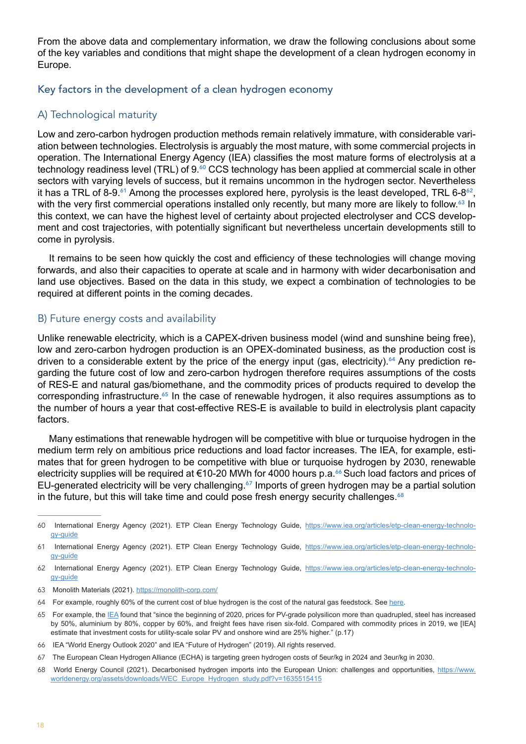<span id="page-17-0"></span>From the above data and complementary information, we draw the following conclusions about some of the key variables and conditions that might shape the development of a clean hydrogen economy in Europe.

#### Key factors in the development of a clean hydrogen economy

#### A) Technological maturity

Low and zero-carbon hydrogen production methods remain relatively immature, with considerable variation between technologies. Electrolysis is arguably the most mature, with some commercial projects in operation. The International Energy Agency (IEA) classifies the most mature forms of electrolysis at a technology readiness level (TRL) of 9.<sup>60</sup> CCS technology has been applied at commercial scale in other sectors with varying levels of success, but it remains uncommon in the hydrogen sector. Nevertheless it has a TRL of 8-9. $^{61}$  Among the processes explored here, pyrolysis is the least developed, TRL 6-8 $^{62}$ , with the very first commercial operations installed only recently, but many more are likely to follow.<sup>63</sup> In this context, we can have the highest level of certainty about projected electrolyser and CCS development and cost trajectories, with potentially significant but nevertheless uncertain developments still to come in pyrolysis.

It remains to be seen how quickly the cost and efficiency of these technologies will change moving forwards, and also their capacities to operate at scale and in harmony with wider decarbonisation and land use objectives. Based on the data in this study, we expect a combination of technologies to be required at different points in the coming decades.

#### B) Future energy costs and availability

Unlike renewable electricity, which is a CAPEX-driven business model (wind and sunshine being free), low and zero-carbon hydrogen production is an OPEX-dominated business, as the production cost is driven to a considerable extent by the price of the energy input (gas, electricity).<sup>64</sup> Any prediction regarding the future cost of low and zero-carbon hydrogen therefore requires assumptions of the costs of RES-E and natural gas/biomethane, and the commodity prices of products required to develop the corresponding infrastructure.<sup>65</sup> In the case of renewable hydrogen, it also requires assumptions as to the number of hours a year that cost-effective RES-E is available to build in electrolysis plant capacity factors.

Many estimations that renewable hydrogen will be competitive with blue or turquoise hydrogen in the medium term rely on ambitious price reductions and load factor increases. The IEA, for example, estimates that for green hydrogen to be competitive with blue or turquoise hydrogen by 2030, renewable electricity supplies will be required at €10-20 MWh for 4000 hours p.a.<sup>66</sup> Such load factors and prices of EU-generated electricity will be very challenging.<sup>67</sup> Imports of green hydrogen may be a partial solution in the future, but this will take time and could pose fresh energy security challenges. $68$ 

<sup>60</sup> International Energy Agency (2021). ETP Clean Energy Technology Guide, [https://www.iea.org/articles/etp-clean-energy-technolo](https://www.iea.org/articles/etp-clean-energy-technology-guide)[gy-guide](https://www.iea.org/articles/etp-clean-energy-technology-guide)

<sup>61</sup> International Energy Agency (2021). ETP Clean Energy Technology Guide, [https://www.iea.org/articles/etp-clean-energy-technolo](https://www.iea.org/articles/etp-clean-energy-technology-guide)[gy-guide](https://www.iea.org/articles/etp-clean-energy-technology-guide)

<sup>62</sup> International Energy Agency (2021). ETP Clean Energy Technology Guide, [https://www.iea.org/articles/etp-clean-energy-technolo](https://www.iea.org/articles/etp-clean-energy-technology-guide)[gy-guide](https://www.iea.org/articles/etp-clean-energy-technology-guide)

<sup>63</sup> Monolith Materials (2021). <https://monolith-corp.com/>

<sup>64</sup> For example, roughly 60% of the current cost of blue hydrogen is the cost of the natural gas feedstock. See [here.](https://www.iea.org/reports/the-future-of-hydrogen)

<sup>65</sup> For example, the [IEA](https://iea.blob.core.windows.net/assets/5ae32253-7409-4f9a-a91d-1493ffb9777a/Renewables2021-Analysisandforecastto2026.pdf) found that "since the beginning of 2020, prices for PV-grade polysilicon more than quadrupled, steel has increased by 50%, aluminium by 80%, copper by 60%, and freight fees have risen six-fold. Compared with commodity prices in 2019, we [IEA] estimate that investment costs for utility-scale solar PV and onshore wind are 25% higher." (p.17)

<sup>66</sup> IEA "World Energy Outlook 2020" and IEA "Future of Hydrogen" (2019). All rights reserved.

<sup>67</sup> The European Clean Hydrogen Alliance (ECHA) is targeting green hydrogen costs of 5eur/kg in 2024 and 3eur/kg in 2030.

<sup>68</sup> World Energy Council (2021). Decarbonised hydrogen imports into the European Union: challenges and opportunities, [https://www.](https://www.worldenergy.org/assets/downloads/WEC_Europe_Hydrogen_study.pdf?v=1635515415) [worldenergy.org/assets/downloads/WEC\\_Europe\\_Hydrogen\\_study.pdf?v=1635515415](https://www.worldenergy.org/assets/downloads/WEC_Europe_Hydrogen_study.pdf?v=1635515415)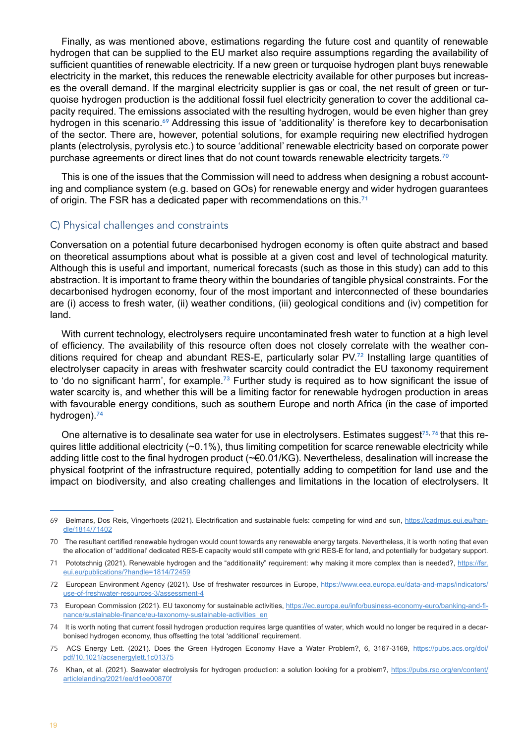Finally, as was mentioned above, estimations regarding the future cost and quantity of renewable hydrogen that can be supplied to the EU market also require assumptions regarding the availability of sufficient quantities of renewable electricity. If a new green or turquoise hydrogen plant buys renewable electricity in the market, this reduces the renewable electricity available for other purposes but increases the overall demand. If the marginal electricity supplier is gas or coal, the net result of green or turquoise hydrogen production is the additional fossil fuel electricity generation to cover the additional capacity required. The emissions associated with the resulting hydrogen, would be even higher than grey hydrogen in this scenario.<sup>69</sup> Addressing this issue of 'additionality' is therefore key to decarbonisation of the sector. There are, however, potential solutions, for example requiring new electrified hydrogen plants (electrolysis, pyrolysis etc.) to source 'additional' renewable electricity based on corporate power purchase agreements or direct lines that do not count towards renewable electricity targets.<sup>70</sup>

This is one of the issues that the Commission will need to address when designing a robust accounting and compliance system (e.g. based on GOs) for renewable energy and wider hydrogen guarantees of origin. The FSR has a dedicated paper with recommendations on this.<sup>71</sup>

#### C) Physical challenges and constraints

Conversation on a potential future decarbonised hydrogen economy is often quite abstract and based on theoretical assumptions about what is possible at a given cost and level of technological maturity. Although this is useful and important, numerical forecasts (such as those in this study) can add to this abstraction. It is important to frame theory within the boundaries of tangible physical constraints. For the decarbonised hydrogen economy, four of the most important and interconnected of these boundaries are (i) access to fresh water, (ii) weather conditions, (iii) geological conditions and (iv) competition for land.

With current technology, electrolysers require uncontaminated fresh water to function at a high level of efficiency. The availability of this resource often does not closely correlate with the weather conditions required for cheap and abundant RES-E, particularly solar PV.72 Installing large quantities of electrolyser capacity in areas with freshwater scarcity could contradict the EU taxonomy requirement to 'do no significant harm', for example.<sup>73</sup> Further study is required as to how significant the issue of water scarcity is, and whether this will be a limiting factor for renewable hydrogen production in areas with favourable energy conditions, such as southern Europe and north Africa (in the case of imported hydrogen).<sup>74</sup>

One alternative is to desalinate sea water for use in electrolysers. Estimates suggest<sup>75,76</sup> that this requires little additional electricity  $(\sim 0.1\%)$ , thus limiting competition for scarce renewable electricity while adding little cost to the final hydrogen product (~€0.01/KG). Nevertheless, desalination will increase the physical footprint of the infrastructure required, potentially adding to competition for land use and the impact on biodiversity, and also creating challenges and limitations in the location of electrolysers. It

<sup>69</sup> Belmans, Dos Reis, Vingerhoets (2021). Electrification and sustainable fuels: competing for wind and sun, [https://cadmus.eui.eu/han](https://cadmus.eui.eu/handle/1814/71402)[dle/1814/71402](https://cadmus.eui.eu/handle/1814/71402)

<sup>70</sup> The resultant certified renewable hydrogen would count towards any renewable energy targets. Nevertheless, it is worth noting that even the allocation of 'additional' dedicated RES-E capacity would still compete with grid RES-E for land, and potentially for budgetary support.

<sup>71</sup> Pototschnig (2021). Renewable hydrogen and the "additionality" requirement: why making it more complex than is needed?, [https://fsr.](https://fsr.eui.eu/publications/?handle=1814/72459) [eui.eu/publications/?handle=1814/72459](https://fsr.eui.eu/publications/?handle=1814/72459)

<sup>72</sup> European Environment Agency (2021). Use of freshwater resources in Europe, [https://www.eea.europa.eu/data-and-maps/indicators/](https://www.eea.europa.eu/data-and-maps/indicators/use-of-freshwater-resources-3/assessment-4) [use-of-freshwater-resources-3/assessment-4](https://www.eea.europa.eu/data-and-maps/indicators/use-of-freshwater-resources-3/assessment-4)

<sup>73</sup> European Commission (2021). EU taxonomy for sustainable activities, [https://ec.europa.eu/info/business-economy-euro/banking-and-fi](https://ec.europa.eu/info/business-economy-euro/banking-and-finance/sustainable-finance/eu-taxonomy-sustainable-activities_en)[nance/sustainable-finance/eu-taxonomy-sustainable-activities\\_en](https://ec.europa.eu/info/business-economy-euro/banking-and-finance/sustainable-finance/eu-taxonomy-sustainable-activities_en)

<sup>74</sup> It is worth noting that current fossil hydrogen production requires large quantities of water, which would no longer be required in a decarbonised hydrogen economy, thus offsetting the total 'additional' requirement.

<sup>75</sup> ACS Energy Lett. (2021). Does the Green Hydrogen Economy Have a Water Problem?, 6, 3167-3169, [https://pubs.acs.org/doi/](https://pubs.acs.org/doi/pdf/10.1021/acsenergylett.1c01375) [pdf/10.1021/acsenergylett.1c01375](https://pubs.acs.org/doi/pdf/10.1021/acsenergylett.1c01375)

<sup>76</sup> Khan, et al. (2021). Seawater electrolysis for hydrogen production: a solution looking for a problem?, [https://pubs.rsc.org/en/content/](https://pubs.rsc.org/en/content/articlelanding/2021/ee/d1ee00870f) [articlelanding/2021/ee/d1ee00870f](https://pubs.rsc.org/en/content/articlelanding/2021/ee/d1ee00870f)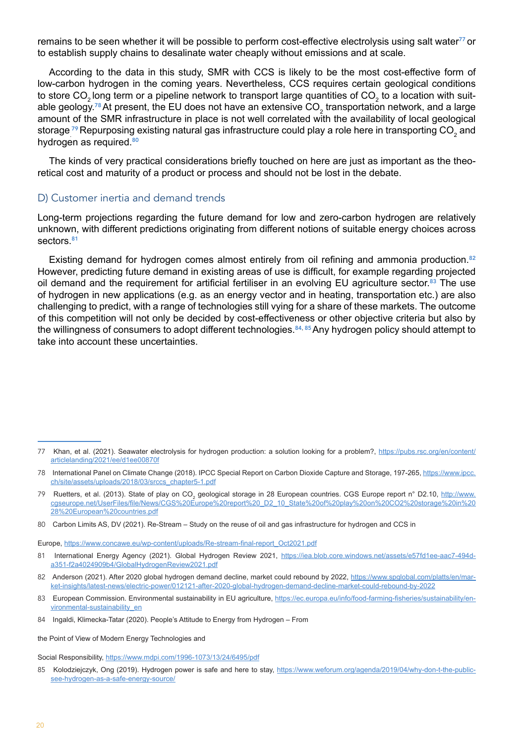remains to be seen whether it will be possible to perform cost-effective electrolysis using salt water<sup>77</sup> or to establish supply chains to desalinate water cheaply without emissions and at scale.

According to the data in this study, SMR with CCS is likely to be the most cost-effective form of low-carbon hydrogen in the coming years. Nevertheless, CCS requires certain geological conditions to store CO $_2$ long term or a pipeline network to transport large quantities of CO $_2$  to a location with suitable geology.<sup>78</sup> At present, the EU does not have an extensive CO<sub>2</sub> transportation network, and a large amount of the SMR infrastructure in place is not well correlated with the availability of local geological storage  $^{79}$ Repurposing existing natural gas infrastructure could play a role here in transporting CO $_{\rm 2}$  and hydrogen as required.<sup>80</sup>

The kinds of very practical considerations briefly touched on here are just as important as the theoretical cost and maturity of a product or process and should not be lost in the debate.

#### D) Customer inertia and demand trends

Long-term projections regarding the future demand for low and zero-carbon hydrogen are relatively unknown, with different predictions originating from different notions of suitable energy choices across sectors.<sup>81</sup>

Existing demand for hydrogen comes almost entirely from oil refining and ammonia production.<sup>82</sup> However, predicting future demand in existing areas of use is difficult, for example regarding projected oil demand and the requirement for artificial fertiliser in an evolving EU agriculture sector.<sup>83</sup> The use of hydrogen in new applications (e.g. as an energy vector and in heating, transportation etc.) are also challenging to predict, with a range of technologies still vying for a share of these markets. The outcome of this competition will not only be decided by cost-effectiveness or other objective criteria but also by the willingness of consumers to adopt different technologies.<sup>84, 85</sup> Any hydrogen policy should attempt to take into account these uncertainties.

Europe, [https://www.concawe.eu/wp-content/uploads/Re-stream-final-report\\_Oct2021.pdf](https://www.concawe.eu/wp-content/uploads/Re-stream-final-report_Oct2021.pdf)

<sup>77</sup> Khan, et al. (2021). Seawater electrolysis for hydrogen production: a solution looking for a problem?, [https://pubs.rsc.org/en/content/](https://pubs.rsc.org/en/content/articlelanding/2021/ee/d1ee00870f) [articlelanding/2021/ee/d1ee00870f](https://pubs.rsc.org/en/content/articlelanding/2021/ee/d1ee00870f)

<sup>78</sup> International Panel on Climate Change (2018). IPCC Special Report on Carbon Dioxide Capture and Storage, 197-265, [https://www.ipcc.](https://www.ipcc.ch/site/assets/uploads/2018/03/srccs_chapter5-1.pdf) [ch/site/assets/uploads/2018/03/srccs\\_chapter5-1.pdf](https://www.ipcc.ch/site/assets/uploads/2018/03/srccs_chapter5-1.pdf)

<sup>79</sup> Ruetters, et al. (2013). State of play on CO<sub>2</sub> geological storage in 28 European countries. CGS Europe report n° D2.10, <u>[http://www.](http://www.cgseurope.net/UserFiles/file/News/CGS%20Europe%20report%20_D2_10_State%20of%20play%20on%20CO2%20storage%20in%2028%20European%20countries.pdf)</u> [cgseurope.net/UserFiles/file/News/CGS%20Europe%20report%20\\_D2\\_10\\_State%20of%20play%20on%20CO2%20storage%20in%20](http://www.cgseurope.net/UserFiles/file/News/CGS%20Europe%20report%20_D2_10_State%20of%20play%20on%20CO2%20storage%20in%2028%20European%20countries.pdf) [28%20European%20countries.pdf](http://www.cgseurope.net/UserFiles/file/News/CGS%20Europe%20report%20_D2_10_State%20of%20play%20on%20CO2%20storage%20in%2028%20European%20countries.pdf)

<sup>80</sup> Carbon Limits AS, DV (2021). Re-Stream – Study on the reuse of oil and gas infrastructure for hydrogen and CCS in

<sup>81</sup> International Energy Agency (2021). Global Hydrogen Review 2021, [https://iea.blob.core.windows.net/assets/e57fd1ee-aac7-494d](https://iea.blob.core.windows.net/assets/e57fd1ee-aac7-494d-a351-f2a4024909b4/GlobalHydrogenReview2021.pdf)[a351-f2a4024909b4/GlobalHydrogenReview2021.pdf](https://iea.blob.core.windows.net/assets/e57fd1ee-aac7-494d-a351-f2a4024909b4/GlobalHydrogenReview2021.pdf)

<sup>82</sup> Anderson (2021). After 2020 global hydrogen demand decline, market could rebound by 2022, [https://www.spglobal.com/platts/en/mar](https://www.spglobal.com/platts/en/market-insights/latest-news/electric-power/012121-after-2020-global-hydrogen-demand-decline-market-could-rebound-by-2022)[ket-insights/latest-news/electric-power/012121-after-2020-global-hydrogen-demand-decline-market-could-rebound-by-2022](https://www.spglobal.com/platts/en/market-insights/latest-news/electric-power/012121-after-2020-global-hydrogen-demand-decline-market-could-rebound-by-2022)

<sup>83</sup> European Commission. Environmental sustainability in EU agriculture, [https://ec.europa.eu/info/food-farming-fisheries/sustainability/en](https://ec.europa.eu/info/food-farming-fisheries/sustainability/environmental-sustainability_en)[vironmental-sustainability\\_en](https://ec.europa.eu/info/food-farming-fisheries/sustainability/environmental-sustainability_en)

<sup>84</sup> Ingaldi, Klimecka-Tatar (2020). People's Attitude to Energy from Hydrogen – From

the Point of View of Modern Energy Technologies and

Social Responsibility, <https://www.mdpi.com/1996-1073/13/24/6495/pdf>

<sup>85</sup> Kolodziejczyk, Ong (2019). Hydrogen power is safe and here to stay, [https://www.weforum.org/agenda/2019/04/why-don-t-the-public](https://www.weforum.org/agenda/2019/04/why-don-t-the-public-see-hydrogen-as-a-safe-energy-source/)[see-hydrogen-as-a-safe-energy-source/](https://www.weforum.org/agenda/2019/04/why-don-t-the-public-see-hydrogen-as-a-safe-energy-source/)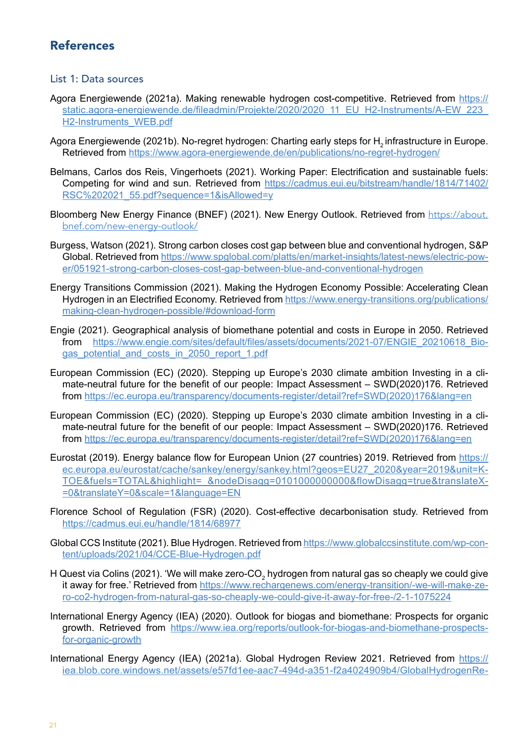# <span id="page-20-0"></span>References

#### List 1: Data sources

- Agora Energiewende (2021a). Making renewable hydrogen cost-competitive. Retrieved from [https://](https://static.agora-energiewende.de/fileadmin/Projekte/2020/2020_11_EU_H2-Instruments/A-EW_223_H2-Instruments_WEB.pdf) static.agora-energiewende.de/fileadmin/Projekte/2020/2020\_11\_EU\_H2-Instruments/A-EW\_223 [H2-Instruments\\_WEB.pdf](https://static.agora-energiewende.de/fileadmin/Projekte/2020/2020_11_EU_H2-Instruments/A-EW_223_H2-Instruments_WEB.pdf)
- Agora Energiewende (2021b). No-regret hydrogen: Charting early steps for H<sub>2</sub> infrastructure in Europe. Retrieved from <https://www.agora-energiewende.de/en/publications/no-regret-hydrogen/>
- Belmans, Carlos dos Reis, Vingerhoets (2021). Working Paper: Electrification and sustainable fuels: Competing for wind and sun. Retrieved from [https://cadmus.eui.eu/bitstream/handle/1814/71402/](https://cadmus.eui.eu/bitstream/handle/1814/71402/RSC%252525202021_55.pdf?sequence=1&isAllowed=y) [RSC%202021\\_55.pdf?sequence=1&isAllowed=y](https://cadmus.eui.eu/bitstream/handle/1814/71402/RSC%252525202021_55.pdf?sequence=1&isAllowed=y)
- Bloomberg New Energy Finance (BNEF) (2021). New Energy Outlook. Retrieved from [https://about.](https://about.bnef.com/new-energy-outlook/) [bnef.com/new-energy-outlook/](https://about.bnef.com/new-energy-outlook/)
- Burgess, Watson (2021). Strong carbon closes cost gap between blue and conventional hydrogen, S&P Global. Retrieved from [https://www.spglobal.com/platts/en/market-insights/latest-news/electric-pow](https://www.spglobal.com/platts/en/market-insights/latest-news/electric-power/051921-strong-carbon-closes-cost-gap-between-blue-and-conventional-hydrogen)[er/051921-strong-carbon-closes-cost-gap-between-blue-and-conventional-hydrogen](https://www.spglobal.com/platts/en/market-insights/latest-news/electric-power/051921-strong-carbon-closes-cost-gap-between-blue-and-conventional-hydrogen)
- Energy Transitions Commission (2021). Making the Hydrogen Economy Possible: Accelerating Clean Hydrogen in an Electrified Economy. Retrieved from [https://www.energy-transitions.org/publications/](https://www.energy-transitions.org/publications/making-clean-hydrogen-possible/%23download-form) [making-clean-hydrogen-possible/#download-form](https://www.energy-transitions.org/publications/making-clean-hydrogen-possible/%23download-form)
- Engie (2021). Geographical analysis of biomethane potential and costs in Europe in 2050. Retrieved from [https://www.engie.com/sites/default/files/assets/documents/2021-07/ENGIE\\_20210618\\_Bio](https://www.engie.com/sites/default/files/assets/documents/2021-07/ENGIE_20210618_Biogas_potential_and_costs_in_2050_report_1.pdf)[gas\\_potential\\_and\\_costs\\_in\\_2050\\_report\\_1.pdf](https://www.engie.com/sites/default/files/assets/documents/2021-07/ENGIE_20210618_Biogas_potential_and_costs_in_2050_report_1.pdf)
- European Commission (EC) (2020). Stepping up Europe's 2030 climate ambition Investing in a climate-neutral future for the benefit of our people: Impact Assessment – SWD(2020)176. Retrieved from [https://ec.europa.eu/transparency/documents-register/detail?ref=SWD\(2020\)176&lang=en](https://ec.europa.eu/transparency/documents-register/detail?ref=SWD(2020)176&lang=en)
- European Commission (EC) (2020). Stepping up Europe's 2030 climate ambition Investing in a climate-neutral future for the benefit of our people: Impact Assessment – SWD(2020)176. Retrieved from [https://ec.europa.eu/transparency/documents-register/detail?ref=SWD\(2020\)176&lang=en](https://ec.europa.eu/transparency/documents-register/detail?ref=SWD(2020)176&lang=en)
- Eurostat (2019). Energy balance flow for European Union (27 countries) 2019. Retrieved from [https://](https://ec.europa.eu/eurostat/cache/sankey/energy/sankey.html?geos=EU27_2020&year=2019&unit=KTOE&fuels=TOTAL&highlight=_&nodeDisagg=0101000000000&flowDisagg=true&translateX=0&translateY=0&scale=1&language=EN) [ec.europa.eu/eurostat/cache/sankey/energy/sankey.html?geos=EU27\\_2020&year=2019&unit=K](https://ec.europa.eu/eurostat/cache/sankey/energy/sankey.html?geos=EU27_2020&year=2019&unit=KTOE&fuels=TOTAL&highlight=_&nodeDisagg=0101000000000&flowDisagg=true&translateX=0&translateY=0&scale=1&language=EN)-[TOE&fuels=TOTAL&highlight=\\_&nodeDisagg=0101000000000&flowDisagg=true&translateX](https://ec.europa.eu/eurostat/cache/sankey/energy/sankey.html?geos=EU27_2020&year=2019&unit=KTOE&fuels=TOTAL&highlight=_&nodeDisagg=0101000000000&flowDisagg=true&translateX=0&translateY=0&scale=1&language=EN)- [=0&translateY=0&scale=1&language=EN](https://ec.europa.eu/eurostat/cache/sankey/energy/sankey.html?geos=EU27_2020&year=2019&unit=KTOE&fuels=TOTAL&highlight=_&nodeDisagg=0101000000000&flowDisagg=true&translateX=0&translateY=0&scale=1&language=EN)
- Florence School of Regulation (FSR) (2020). Cost-effective decarbonisation study. Retrieved from <https://cadmus.eui.eu/handle/1814/68977>
- Global CCS Institute (2021). Blue Hydrogen. Retrieved from [https://www.globalccsinstitute.com/wp-con](https://www.globalccsinstitute.com/wp-content/uploads/2021/04/CCE-Blue-Hydrogen.pdf)[tent/uploads/2021/04/CCE-Blue-Hydrogen.pdf](https://www.globalccsinstitute.com/wp-content/uploads/2021/04/CCE-Blue-Hydrogen.pdf)
- H Quest via Colins (2021). 'We will make zero-CO $_2$  hydrogen from natural gas so cheaply we could give it away for free.' Retrieved from [https://www.rechargenews.com/energy-transition/-we-will-make-ze](https://www.rechargenews.com/energy-transition/-we-will-make-zero-co2-hydrogen-from-natural-gas-so-cheaply-we-could-give-it-away-for-free-/2-1-1075224)[ro-co2-hydrogen-from-natural-gas-so-cheaply-we-could-give-it-away-for-free-/2-1-1075224](https://www.rechargenews.com/energy-transition/-we-will-make-zero-co2-hydrogen-from-natural-gas-so-cheaply-we-could-give-it-away-for-free-/2-1-1075224)
- International Energy Agency (IEA) (2020). Outlook for biogas and biomethane: Prospects for organic growth. Retrieved from [https://www.iea.org/reports/outlook-for-biogas-and-biomethane-prospects](https://www.iea.org/reports/outlook-for-biogas-and-biomethane-prospects-for-organic-growth)[for-organic-growth](https://www.iea.org/reports/outlook-for-biogas-and-biomethane-prospects-for-organic-growth)
- International Energy Agency (IEA) (2021a). Global Hydrogen Review 2021. Retrieved from [https://](https://iea.blob.core.windows.net/assets/e57fd1ee-aac7-494d-a351-f2a4024909b4/GlobalHydrogenReview2021.pdf) [iea.blob.core.windows.net/assets/e57fd1ee-aac7-494d-a351-f2a4024909b4/GlobalHydrogenRe](https://iea.blob.core.windows.net/assets/e57fd1ee-aac7-494d-a351-f2a4024909b4/GlobalHydrogenReview2021.pdf)-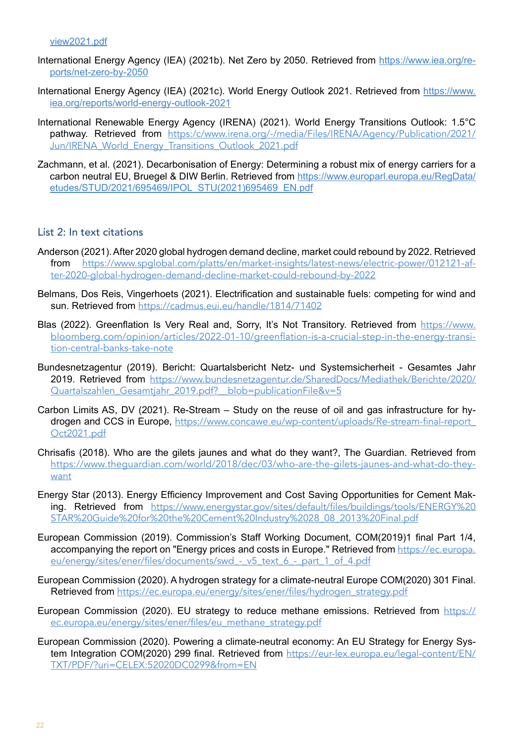- International Energy Agency (IEA) (2021b). Net Zero by 2050. Retrieved from [https://www.iea.org/re](https://www.iea.org/reports/net-zero-by-2050)[ports/net-zero-by-2050](https://www.iea.org/reports/net-zero-by-2050)
- International Energy Agency (IEA) (2021c). World Energy Outlook 2021. Retrieved from [https://www.](https://www.iea.org/reports/world-energy-outlook-2021) [iea.org/reports/world-energy-outlook-2021](https://www.iea.org/reports/world-energy-outlook-2021)
- International Renewable Energy Agency (IRENA) (2021). World Energy Transitions Outlook: 1.5°C pathway. Retrieved from [https:/c/www.irena.org/-/media/Files/IRENA/Agency/Publication/2021/](https://www.irena.org/-/media/Files/IRENA/Agency/Publication/2021/Jun/IRENA_World_Energy_Transitions_Outlook_2021.pdf) [Jun/IRENA\\_World\\_Energy\\_Transitions\\_Outlook\\_2021.pdf](https://www.irena.org/-/media/Files/IRENA/Agency/Publication/2021/Jun/IRENA_World_Energy_Transitions_Outlook_2021.pdf)
- Zachmann, et al. (2021). Decarbonisation of Energy: Determining a robust mix of energy carriers for a carbon neutral EU, Bruegel & DIW Berlin. Retrieved from [https://www.europarl.europa.eu/RegData/](https://www.europarl.europa.eu/RegData/etudes/STUD/2021/695469/IPOL_STU(2021)695469_EN.pdf) [etudes/STUD/2021/695469/IPOL\\_STU\(2021\)695469\\_EN.pdf](https://www.europarl.europa.eu/RegData/etudes/STUD/2021/695469/IPOL_STU(2021)695469_EN.pdf)

#### List 2: In text citations

- Anderson (2021). After 2020 global hydrogen demand decline, market could rebound by 2022. Retrieved from [https://www.spglobal.com/platts/en/market-insights/latest-news/electric-power/012121-af](https://www.spglobal.com/platts/en/market-insights/latest-news/electric-power/012121-after-2020-global-hydrogen-demand-decline-market-could-rebound-by-2022)[ter-2020-global-hydrogen-demand-decline-market-could-rebound-by-2022](https://www.spglobal.com/platts/en/market-insights/latest-news/electric-power/012121-after-2020-global-hydrogen-demand-decline-market-could-rebound-by-2022)
- Belmans, Dos Reis, Vingerhoets (2021). Electrification and sustainable fuels: competing for wind and sun. Retrieved from <https://cadmus.eui.eu/handle/1814/71402>
- Blas (2022). Greenflation Is Very Real and, Sorry, It's Not Transitory. Retrieved from [https://www.](https://www.bloomberg.com/opinion/articles/2022-01-10/greenflation-is-a-crucial-step-in-the-energy-transition-central-banks-take-note) [bloomberg.com/opinion/articles/2022-01-10/greenflation-is-a-crucial-step-in-the-energy-transi](https://www.bloomberg.com/opinion/articles/2022-01-10/greenflation-is-a-crucial-step-in-the-energy-transition-central-banks-take-note)[tion-central-banks-take-note](https://www.bloomberg.com/opinion/articles/2022-01-10/greenflation-is-a-crucial-step-in-the-energy-transition-central-banks-take-note)
- Bundesnetzagentur (2019). Bericht: Quartalsbericht Netz- und Systemsicherheit Gesamtes Jahr 2019. Retrieved from [https://www.bundesnetzagentur.de/SharedDocs/Mediathek/Berichte/2020/](https://www.bundesnetzagentur.de/SharedDocs/Mediathek/Berichte/2020/Quartalszahlen_Gesamtjahr_2019.pdf?__blob=publicationFile&v=5) [Quartalszahlen\\_Gesamtjahr\\_2019.pdf?\\_\\_blob=publicationFile&v=5](https://www.bundesnetzagentur.de/SharedDocs/Mediathek/Berichte/2020/Quartalszahlen_Gesamtjahr_2019.pdf?__blob=publicationFile&v=5)
- Carbon Limits AS, DV (2021). Re-Stream Study on the reuse of oil and gas infrastructure for hydrogen and CCS in Europe, [https://www.concawe.eu/wp-content/uploads/Re-stream-final-report\\_](https://www.concawe.eu/wp-content/uploads/Re-stream-final-report_Oct2021.pdf) [Oct2021.pdf](https://www.concawe.eu/wp-content/uploads/Re-stream-final-report_Oct2021.pdf)
- Chrisafis (2018). Who are the gilets jaunes and what do they want?, The Guardian. Retrieved from [https://www.theguardian.com/world/2018/dec/03/who-are-the-gilets-jaunes-and-what-do-they](https://www.theguardian.com/world/2018/dec/03/who-are-the-gilets-jaunes-and-what-do-they-want)[want](https://www.theguardian.com/world/2018/dec/03/who-are-the-gilets-jaunes-and-what-do-they-want)
- Energy Star (2013). Energy Efficiency Improvement and Cost Saving Opportunities for Cement Making. Retrieved from [https://www.energystar.gov/sites/default/files/buildings/tools/ENERGY%20](https://www.energystar.gov/sites/default/files/buildings/tools/ENERGY%20STAR%20Guide%20for%20the%20Cement%20Industry%2028_08_2013%20Final.pdf) [STAR%20Guide%20for%20the%20Cement%20Industry%2028\\_08\\_2013%20Final.pdf](https://www.energystar.gov/sites/default/files/buildings/tools/ENERGY%20STAR%20Guide%20for%20the%20Cement%20Industry%2028_08_2013%20Final.pdf)
- European Commission (2019). Commission's Staff Working Document, COM(2019)1 final Part 1/4, accompanying the report on "Energy prices and costs in Europe." Retrieved from [https://ec.europa.](https://ec.europa.eu/energy/sites/ener/files/documents/swd_-_v5_text_6_-_part_1_of_4.pdf) eu/energy/sites/ener/files/documents/swd - v5 text 6 - part 1 of 4.pdf
- European Commission (2020). A hydrogen strategy for a climate-neutral Europe COM(2020) 301 Final. Retrieved from [https://ec.europa.eu/energy/sites/ener/files/hydrogen\\_strategy.pdf](https://ec.europa.eu/energy/sites/ener/files/hydrogen_strategy.pdf)
- European Commission (2020). EU strategy to reduce methane emissions. Retrieved from [https://](https://ec.europa.eu/energy/sites/ener/files/eu_methane_strategy.pdf) [ec.europa.eu/energy/sites/ener/files/eu\\_methane\\_strategy.pdf](https://ec.europa.eu/energy/sites/ener/files/eu_methane_strategy.pdf)
- European Commission (2020). Powering a climate-neutral economy: An EU Strategy for Energy System Integration COM(2020) 299 final. Retrieved from [https://eur-lex.europa.eu/legal-content/EN/](https://eur-lex.europa.eu/legal-content/EN/TXT/PDF/?uri=CELEX:52020DC0299&from=EN) [TXT/PDF/?uri=CELEX:52020DC0299&from=EN](https://eur-lex.europa.eu/legal-content/EN/TXT/PDF/?uri=CELEX:52020DC0299&from=EN)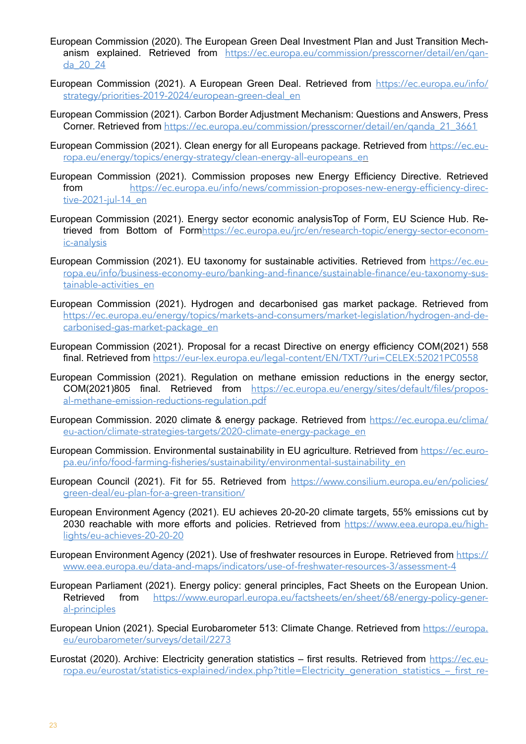- European Commission (2020). The European Green Deal Investment Plan and Just Transition Mechanism explained. Retrieved from https://ec.europa.eu/commission/presscorner/detail/en/gan[da\\_20\\_24](https://ec.europa.eu/commission/presscorner/detail/en/qanda_20_24)
- European Commission (2021). A European Green Deal. Retrieved from [https://ec.europa.eu/info/](https://ec.europa.eu/info/strategy/priorities-2019-2024/european-green-deal_en) [strategy/priorities-2019-2024/european-green-deal\\_en](https://ec.europa.eu/info/strategy/priorities-2019-2024/european-green-deal_en)
- European Commission (2021). Carbon Border Adjustment Mechanism: Questions and Answers, Press Corner. Retrieved from https://ec.europa.eu/commission/presscorner/detail/en/ganda\_21\_3661
- European Commission (2021). Clean energy for all Europeans package. Retrieved from [https://ec.eu](https://ec.europa.eu/energy/topics/energy-strategy/clean-energy-all-europeans_en)[ropa.eu/energy/topics/energy-strategy/clean-energy-all-europeans\\_e](https://ec.europa.eu/energy/topics/energy-strategy/clean-energy-all-europeans_en)n
- European Commission (2021). Commission proposes new Energy Efficiency Directive. Retrieved from [https://ec.europa.eu/info/news/commission-proposes-new-energy-efficiency-direc](https://ec.europa.eu/info/news/commission-proposes-new-energy-efficiency-directive-2021-jul-14_en)[tive-2021-jul-14\\_en](https://ec.europa.eu/info/news/commission-proposes-new-energy-efficiency-directive-2021-jul-14_en)
- European Commission (2021). Energy sector economic analysisTop of Form, EU Science Hub. Retrieved from Bottom of Form[https://ec.europa.eu/jrc/en/research-topic/energy-sector-econom](https://ec.europa.eu/jrc/en/research-topic/energy-sector-economic-analysis)[ic-analysis](https://ec.europa.eu/jrc/en/research-topic/energy-sector-economic-analysis)
- European Commission (2021). EU taxonomy for sustainable activities. Retrieved from [https://ec.eu](https://ec.europa.eu/info/business-economy-euro/banking-and-finance/sustainable-finance/eu-taxonomy-sustainable-activities_en)[ropa.eu/info/business-economy-euro/banking-and-finance/sustainable-finance/eu-taxonomy-sus](https://ec.europa.eu/info/business-economy-euro/banking-and-finance/sustainable-finance/eu-taxonomy-sustainable-activities_en)[tainable-activities\\_en](https://ec.europa.eu/info/business-economy-euro/banking-and-finance/sustainable-finance/eu-taxonomy-sustainable-activities_en)
- European Commission (2021). Hydrogen and decarbonised gas market package. Retrieved from [https://ec.europa.eu/energy/topics/markets-and-consumers/market-legislation/hydrogen-and-de](https://ec.europa.eu/energy/topics/markets-and-consumers/market-legislation/hydrogen-and-decarbonised-gas-market-package_en)[carbonised-gas-market-package\\_en](https://ec.europa.eu/energy/topics/markets-and-consumers/market-legislation/hydrogen-and-decarbonised-gas-market-package_en)
- European Commission (2021). Proposal for a recast Directive on energy efficiency COM(2021) 558 final. Retrieved from <https://eur-lex.europa.eu/legal-content/EN/TXT/?uri=CELEX:52021PC0558>
- European Commission (2021). Regulation on methane emission reductions in the energy sector, COM(2021)805 final. Retrieved from [https://ec.europa.eu/energy/sites/default/files/propos](https://ec.europa.eu/energy/sites/default/files/proposal-methane-emission-reductions-regulation.pdf)[al-methane-emission-reductions-regulation.pdf](https://ec.europa.eu/energy/sites/default/files/proposal-methane-emission-reductions-regulation.pdf)
- European Commission. 2020 climate & energy package. Retrieved from [https://ec.europa.eu/clima/](https://ec.europa.eu/clima/eu-action/climate-strategies-targets/2020-climate-energy-package_en) [eu-action/climate-strategies-targets/2020-climate-energy-package\\_en](https://ec.europa.eu/clima/eu-action/climate-strategies-targets/2020-climate-energy-package_en)
- European Commission. Environmental sustainability in EU agriculture. Retrieved from [https://ec.euro](https://ec.europa.eu/info/food-farming-fisheries/sustainability/environmental-sustainability_en)[pa.eu/info/food-farming-fisheries/sustainability/environmental-sustainability\\_en](https://ec.europa.eu/info/food-farming-fisheries/sustainability/environmental-sustainability_en)
- European Council (2021). Fit for 55. Retrieved from [https://www.consilium.europa.eu/en/policies/](https://www.consilium.europa.eu/en/policies/green-deal/eu-plan-for-a-green-transition/) [green-deal/eu-plan-for-a-green-transition/](https://www.consilium.europa.eu/en/policies/green-deal/eu-plan-for-a-green-transition/)
- European Environment Agency (2021). EU achieves 20-20-20 climate targets, 55% emissions cut by 2030 reachable with more efforts and policies. Retrieved from [https://www.eea.europa.eu/high](https://www.eea.europa.eu/highlights/eu-achieves-20-20-20)[lights/eu-achieves-20-20-20](https://www.eea.europa.eu/highlights/eu-achieves-20-20-20)
- European Environment Agency (2021). Use of freshwater resources in Europe. Retrieved from [https://](https://www.eea.europa.eu/data-and-maps/indicators/use-of-freshwater-resources-3/assessment-4) [www.eea.europa.eu/data-and-maps/indicators/use-of-freshwater-resources-3/assessment-4](https://www.eea.europa.eu/data-and-maps/indicators/use-of-freshwater-resources-3/assessment-4)
- European Parliament (2021). Energy policy: general principles, Fact Sheets on the European Union. Retrieved from [https://www.europarl.europa.eu/factsheets/en/sheet/68/energy-policy-gener](https://www.europarl.europa.eu/factsheets/en/sheet/68/energy-policy-general-principles)[al-principles](https://www.europarl.europa.eu/factsheets/en/sheet/68/energy-policy-general-principles)
- European Union (2021). Special Eurobarometer 513: Climate Change. Retrieved from [https://europa.](https://europa.eu/eurobarometer/surveys/detail/2273) [eu/eurobarometer/surveys/detail/2273](https://europa.eu/eurobarometer/surveys/detail/2273)
- Eurostat (2020). Archive: Electricity generation statistics first results. Retrieved from [https://ec.eu](https://ec.europa.eu/eurostat/statistics-explained/index.php?title=Electricity_generation_statistics_–_first_results&oldid=498612)[ropa.eu/eurostat/statistics-explained/index.php?title=Electricity\\_generation\\_statistics\\_–\\_first\\_re](https://ec.europa.eu/eurostat/statistics-explained/index.php?title=Electricity_generation_statistics_–_first_results&oldid=498612)-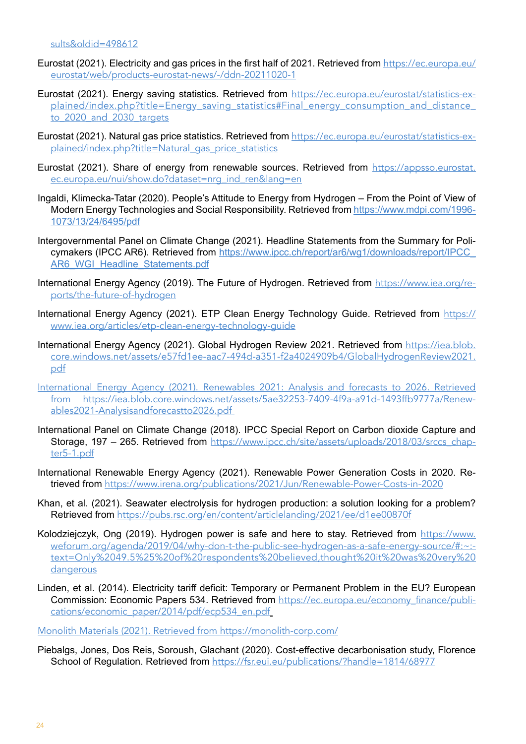- Eurostat (2021). Electricity and gas prices in the first half of 2021. Retrieved from [https://ec.europa.eu/](https://ec.europa.eu/eurostat/web/products-eurostat-news/-/ddn-20211020-1) [eurostat/web/products-eurostat-news/-/ddn-20211020-1](https://ec.europa.eu/eurostat/web/products-eurostat-news/-/ddn-20211020-1)
- Eurostat (2021). Energy saving statistics. Retrieved from https://ec.europa.eu/eurostat/statistics-explained/index.php?title=Energy\_saving\_statistics#Final\_energy\_consumption\_and\_distance\_ to 2020 and 2030 targets
- Eurostat (2021). Natural gas price statistics. Retrieved from [https://ec.europa.eu/eurostat/statistics-ex](https://ec.europa.eu/eurostat/statistics-explained/index.php?title=Natural_gas_price_statistics)[plained/index.php?title=Natural\\_gas\\_price\\_statistics](https://ec.europa.eu/eurostat/statistics-explained/index.php?title=Natural_gas_price_statistics)
- Eurostat (2021). Share of energy from renewable sources. Retrieved from [https://appsso.eurostat.](https://appsso.eurostat.ec.europa.eu/nui/show.do?dataset=nrg_ind_ren&lang=en) [ec.europa.eu/nui/show.do?dataset=nrg\\_ind\\_ren&lang=en](https://appsso.eurostat.ec.europa.eu/nui/show.do?dataset=nrg_ind_ren&lang=en)
- Ingaldi, Klimecka-Tatar (2020). People's Attitude to Energy from Hydrogen From the Point of View of Modern Energy Technologies and Social Responsibility. Retrieved from [https://www.mdpi.com/1996-](https://www.mdpi.com/1996-1073/13/24/6495/pdf) [1073/13/24/6495/pdf](https://www.mdpi.com/1996-1073/13/24/6495/pdf)
- Intergovernmental Panel on Climate Change (2021). Headline Statements from the Summary for Policymakers (IPCC AR6). Retrieved from [https://www.ipcc.ch/report/ar6/wg1/downloads/report/IPCC\\_](https://www.ipcc.ch/report/ar6/wg1/downloads/report/IPCC_AR6_WGI_Headline_Statements.pdf) [AR6\\_WGI\\_Headline\\_Statements.pdf](https://www.ipcc.ch/report/ar6/wg1/downloads/report/IPCC_AR6_WGI_Headline_Statements.pdf)
- International Energy Agency (2019). The Future of Hydrogen. Retrieved from [https://www.iea.org/re](https://www.iea.org/reports/the-future-of-hydrogen)[ports/the-future-of-hydrogen](https://www.iea.org/reports/the-future-of-hydrogen)
- International Energy Agency (2021). ETP Clean Energy Technology Guide. Retrieved from [https://](https://www.iea.org/articles/etp-clean-energy-technology-guide) [www.iea.org/articles/etp-clean-energy-technology-guide](https://www.iea.org/articles/etp-clean-energy-technology-guide)
- International Energy Agency (2021). Global Hydrogen Review 2021. Retrieved from [https://iea.blob.](https://iea.blob.core.windows.net/assets/e57fd1ee-aac7-494d-a351-f2a4024909b4/GlobalHydrogenReview2021.pdf) [core.windows.net/assets/e57fd1ee-aac7-494d-a351-f2a4024909b4/GlobalHydrogenReview2021.](https://iea.blob.core.windows.net/assets/e57fd1ee-aac7-494d-a351-f2a4024909b4/GlobalHydrogenReview2021.pdf) [pdf](https://iea.blob.core.windows.net/assets/e57fd1ee-aac7-494d-a351-f2a4024909b4/GlobalHydrogenReview2021.pdf)
- International Energy Agency (2021). Renewables 2021: Analysis and forecasts to 2026. Retrieved from [https://iea.blob.core.windows.net/assets/5ae32253-7409-4f9a-a91d-1493ffb9777a/Renew](https://iea.blob.core.windows.net/assets/5ae32253-7409-4f9a-a91d-1493ffb9777a/Renewables2021-Analysisandforecastto2026.pdf)[ables2021-Analysisandforecastto2026.pdf](https://iea.blob.core.windows.net/assets/5ae32253-7409-4f9a-a91d-1493ffb9777a/Renewables2021-Analysisandforecastto2026.pdf)
- International Panel on Climate Change (2018). IPCC Special Report on Carbon dioxide Capture and Storage, 197 – 265. Retrieved from [https://www.ipcc.ch/site/assets/uploads/2018/03/srccs\\_chap](https://www.ipcc.ch/site/assets/uploads/2018/03/srccs_chapter5-1.pdf)[ter5-1.pdf](https://www.ipcc.ch/site/assets/uploads/2018/03/srccs_chapter5-1.pdf)
- International Renewable Energy Agency (2021). Renewable Power Generation Costs in 2020. Retrieved from <https://www.irena.org/publications/2021/Jun/Renewable-Power-Costs-in-2020>
- Khan, et al. (2021). Seawater electrolysis for hydrogen production: a solution looking for a problem? Retrieved from <https://pubs.rsc.org/en/content/articlelanding/2021/ee/d1ee00870f>
- Kolodziejczyk, Ong (2019). Hydrogen power is safe and here to stay. Retrieved from https://www. weforum.org/agenda/2019/04/why-don-t-the-public-see-hydrogen-as-a-safe-energy-source/#:~: text=Only%2049.5%25%20of%20respondents%20believed,thought%20it%20was%20very%20 **dangerous**
- Linden, et al. (2014). Electricity tariff deficit: Temporary or Permanent Problem in the EU? European Commission: Economic Papers 534. Retrieved from [https://ec.europa.eu/economy\\_finance/publi](https://ec.europa.eu/economy_finance/publications/economic_paper/2014/pdf/ecp534_en.pdf)[cations/economic\\_paper/2014/pdf/ecp534\\_en.pdf](https://ec.europa.eu/economy_finance/publications/economic_paper/2014/pdf/ecp534_en.pdf)

Monolith Materials (2021). Retrieved from <https://monolith-corp.com/>

Piebalgs, Jones, Dos Reis, Soroush, Glachant (2020). Cost-effective decarbonisation study, Florence School of Regulation. Retrieved from <https://fsr.eui.eu/publications/?handle=1814/68977>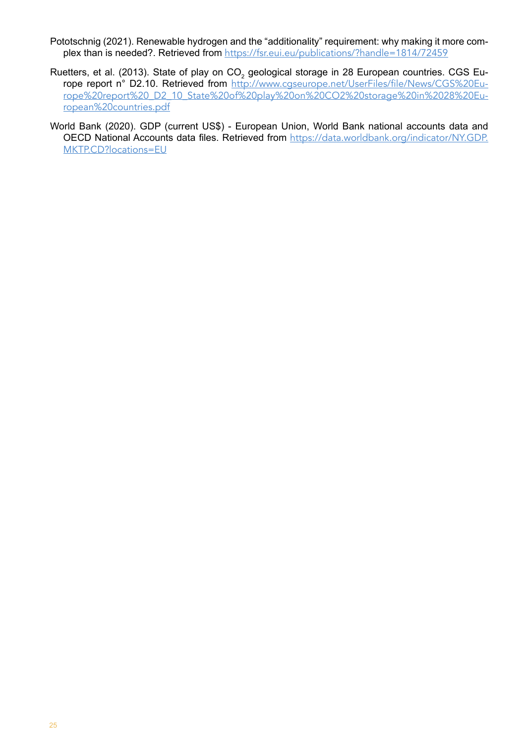- Pototschnig (2021). Renewable hydrogen and the "additionality" requirement: why making it more complex than is needed?. Retrieved from <https://fsr.eui.eu/publications/?handle=1814/72459>
- Ruetters, et al. (2013). State of play on CO<sub>2</sub> geological storage in 28 European countries. CGS Europe report n° D2.10. Retrieved from [http://www.cgseurope.net/UserFiles/file/News/CGS%20Eu](http://www.cgseurope.net/UserFiles/file/News/CGS%20Europe%20report%20_D2_10_State%20of%20play%20on%20CO2%20storage%20in%2028%20European%20countries.pdf)[rope%20report%20\\_D2\\_10\\_State%20of%20play%20on%20CO2%20storage%20in%2028%20Eu](http://www.cgseurope.net/UserFiles/file/News/CGS%20Europe%20report%20_D2_10_State%20of%20play%20on%20CO2%20storage%20in%2028%20European%20countries.pdf)[ropean%20countries.pdf](http://www.cgseurope.net/UserFiles/file/News/CGS%20Europe%20report%20_D2_10_State%20of%20play%20on%20CO2%20storage%20in%2028%20European%20countries.pdf)
- World Bank (2020). GDP (current US\$) European Union, World Bank national accounts data and OECD National Accounts data files. Retrieved from [https://data.worldbank.org/indicator/NY.GDP.](https://data.worldbank.org/indicator/NY.GDP.MKTP.CD?locations=EU) [MKTP.CD?locations=EU](https://data.worldbank.org/indicator/NY.GDP.MKTP.CD?locations=EU)